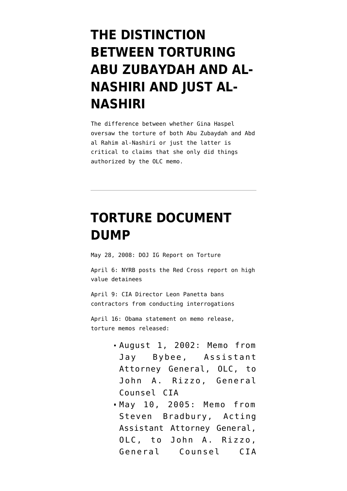## **[THE DISTINCTION](https://www.emptywheel.net/2018/03/16/the-distinction-between-torturing-abu-zubaydah-and-al-nashiri-and-just-al-nashiri/) [BETWEEN TORTURING](https://www.emptywheel.net/2018/03/16/the-distinction-between-torturing-abu-zubaydah-and-al-nashiri-and-just-al-nashiri/) [ABU ZUBAYDAH AND AL-](https://www.emptywheel.net/2018/03/16/the-distinction-between-torturing-abu-zubaydah-and-al-nashiri-and-just-al-nashiri/)[NASHIRI AND JUST AL-](https://www.emptywheel.net/2018/03/16/the-distinction-between-torturing-abu-zubaydah-and-al-nashiri-and-just-al-nashiri/)[NASHIRI](https://www.emptywheel.net/2018/03/16/the-distinction-between-torturing-abu-zubaydah-and-al-nashiri-and-just-al-nashiri/)**

The difference between whether Gina Haspel oversaw the torture of both Abu Zubaydah and Abd al Rahim al-Nashiri or just the latter is critical to claims that she only did things authorized by the OLC memo.

## **[TORTURE DOCUMENT](https://www.emptywheel.net/portfolio-item/torture-document-dump/) [DUMP](https://www.emptywheel.net/portfolio-item/torture-document-dump/)**

May 28, 2008: DOJ IG [Report](http://www.usdoj.gov/oig/special/s0805/final.pdf) on Torture

April 6: NYRB posts the [Red Cross report](http://www.nybooks.com/icrc-report.pdf) on high value detainees

April 9: CIA Director Leon Panetta [bans](http://online.wsj.com/article/SB123930070735305799.html) contractors from conducting interrogations

April 16: Obama [statement](http://emptywheel.firedoglake.com/2009/04/16/obama-on-the-olc-memo-release/) on memo release, torture memos released:

- [August 1, 2002:](http://stream.luxmedia501.com/?file=clients/aclu/olc_08012002_bybee.pdf&method=dl) Memo from Jay Bybee, Assistant Attorney General, OLC, to John A. Rizzo, General Counsel CIA
- [May 10, 2005:](http://stream.luxmedia501.com/?file=clients/aclu/olc_05102005_bradbury46pg.pdf&method=dl) Memo from Steven Bradbury, Acting Assistant Attorney General, OLC, to John A. Rizzo, General Counsel CIA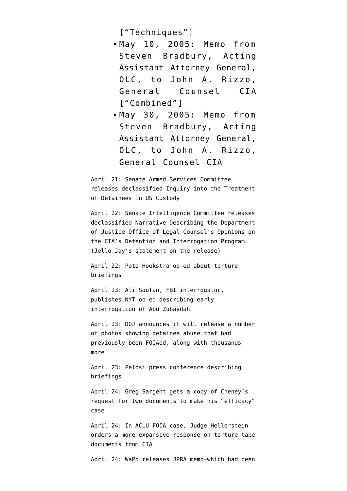["Techniques"]

- [May 10, 2005:](http://stream.luxmedia501.com/?file=clients/aclu/olc_05102005_bradbury_20pg.pdf&method=dl) Memo from Steven Bradbury, Acting Assistant Attorney General, OLC, to John A. Rizzo, General Counsel CIA ["Combined"]
- [May 30, 2005:](http://stream.luxmedia501.com/?file=clients/aclu/olc_05302005_bradbury.pdf&method=dl) Memo from Steven Bradbury, Acting Assistant Attorney General, OLC, to John A. Rizzo, General Counsel CIA

April 21: Senate Armed Services Committee releases declassified [Inquiry into the Treatment](http://armed-services.senate.gov/Publications/Detainee%20Report%20Final_April%2022%202009.pdf) [of Detainees in US Custody](http://armed-services.senate.gov/Publications/Detainee%20Report%20Final_April%2022%202009.pdf)

April 22: Senate Intelligence Committee releases declassified [Narrative Describing the Department](http://intelligence.senate.gov/pdfs/olcopinion.pdf) [of Justice Office of Legal Counsel's Opinions on](http://intelligence.senate.gov/pdfs/olcopinion.pdf) [the CIA's Detention and Interrogation Program](http://intelligence.senate.gov/pdfs/olcopinion.pdf) (Jello Jay's [statement](http://www.fas.org/irp/congress/2009_cr/ssci_olc.html) on the release)

April 22: Pete Hoekstra [op-ed](http://online.wsj.com/article/SB124044188941045415.html) about torture briefings

April 23: Ali Soufan, FBI interrogator, publishes [NYT op-ed](http://www.nytimes.com/2009/04/23/opinion/23soufan.html?_r=1&ref=opinion) describing early interrogation of Abu Zubaydah

April 23: DOJ [announces](http://www.aclu.org/pdfs/safefree/letter_singh_20090423.pdf) it will release a number of photos showing detainee abuse that had previously been FOIAed, along with thousands more

April 23: Pelosi [press conference](http://emptywheel.firedoglake.com/2009/04/25/pelosi-of-hidden-memos-and-covert-ops-hidden-in-supplementals/) describing briefings

April 24: Greg Sargent [gets a copy](http://theplumline.whorunsgov.com/torture/obtained-cheneys-request-detailing-the-two-cia-docs-he-wants/) of [Cheney's](http://theplumline.whorunsgov.com/wp-content/uploads/2009/04/cheney-foia.pdf) [request](http://theplumline.whorunsgov.com/wp-content/uploads/2009/04/cheney-foia.pdf) for two documents to make his "efficacy" case

April 24: In ACLU FOIA case, Judge Hellerstein [orders](http://www.aclu.org/images/torture/asset_upload_file811_39459.pdf) a more expansive response on torture tape documents from CIA

April 24: WaPo [releases](http://www.washingtonpost.com/wp-dyn/content/article/2009/04/24/AR2009042403171.html?hpid=topnews&sid=ST2009042403231) [JPRA memo–](http://www.washingtonpost.com/wp-srv/nation/pdf/JPRA-Memo_042409.pdf)which had been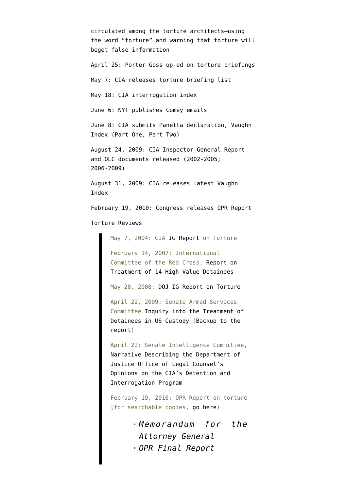circulated among the torture architects–using the word "torture" and warning that torture will beget false information

April 25: Porter Goss [op-ed](http://www.washingtonpost.com/wp-dyn/content/article/2009/04/24/AR2009042403339.html) on torture briefings

May 7: CIA releases [torture briefing list](https://www.emptywheel.net/wp-content/uploads/2009/04/090506-Torture-Briefings.pdf)

May 18: CIA [interrogation index](http://www.aclu.org/torturefoia/legaldocuments/torturefoia_list_20090518.pdf)

June 6: NYT [publishes](http://static1.firedoglake.com/28/files//2009/06/050427-comey-emails-compressed.pdf) Comey emails

June 8: CIA submits [Panetta declaration,](http://static1.firedoglake.com/28/files//2009/06/panetta-declaration.pdf) Vaughn Index ([Part One,](http://emptywheel.firedoglake.com/files/28/files//2009/06/090608-vaughn-1.pdf) [Part Two\)](http://emptywheel.firedoglake.com/files/28/files//2009/06/090608-vaughn-2.pdf)

August 24, 2009: CIA [Inspector General Report](http://www.aclu.org/safefree/torture/40832res20090824.html) and OLC documents released [\(2002-2005](http://www.aclu.org/safefree/torture/40834res20090824.html); [2006-2009\)](http://www.aclu.org/safefree/torture/40833res20090824.html)

August 31, 2009: CIA releases latest [Vaughn](http://www.aclu.org/safefree/torture/40890lgl20090831.html) [Index](http://www.aclu.org/safefree/torture/40890lgl20090831.html)

February 19, 2010: Congress [releases](http://judiciary.house.gov/issues/issues_OPRReport.html) OPR Report

Torture Reviews

May 7, 2004: CIA [IG Report](http://www.aclu.org/oigreport/) on Torture

February 14, 2007: International Committee of the Red Cross, [Report on](http://www.nybooks.com/icrc-report.pdf) [Treatment of 14 High Value Detainees](http://www.nybooks.com/icrc-report.pdf)

May 28, 2008: [DOJ IG Report on Torture](http://www.justice.gov/oig/special/s0910.pdf)

April 22, 2009: Senate Armed Services Committee [Inquiry into the Treatment of](http://armed-services.senate.gov/Publications/Detainee%20Report%20Final_April%2022%202009.pdf) [Detainees in US Custody](http://armed-services.senate.gov/Publications/Detainee%20Report%20Final_April%2022%202009.pdf) [\(Backup to the](http://www.fas.org/irp/congress/2008_hr/treatment.pdf) [report\)](http://www.fas.org/irp/congress/2008_hr/treatment.pdf)

April 22: Senate Intelligence Committee, [Narrative Describing the Department of](http://intelligence.senate.gov/pdfs/olcopinion.pdf) [Justice Office of Legal Counsel's](http://intelligence.senate.gov/pdfs/olcopinion.pdf) [Opinions on the CIA's Detention and](http://intelligence.senate.gov/pdfs/olcopinion.pdf) [Interrogation Program](http://intelligence.senate.gov/pdfs/olcopinion.pdf)

February 19, 2010: OPR Report on torture [for searchable copies, [go here\)](http://public.me.com/seanburns)

> *[Memorandum for the](http://judiciary.house.gov/hearings/pdf/DAGMargolisMemo100105.pdf) [Attorney General](http://judiciary.house.gov/hearings/pdf/DAGMargolisMemo100105.pdf) [OPR Final Report](http://judiciary.house.gov/hearings/pdf/OPRFinalReport090729.pdf)*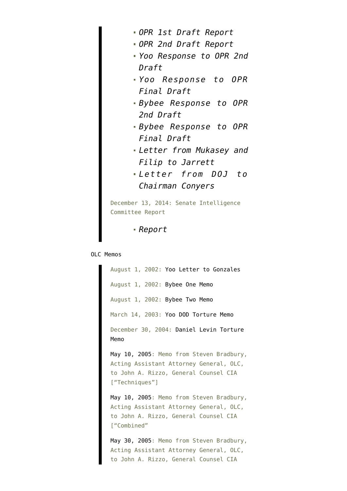*[OPR 1st Draft Report](http://judiciary.house.gov/hearings/pdf/OPRFirstReport081222.pdf) [OPR 2nd Draft Report](http://judiciary.house.gov/hearings/pdf/OPRSecondReport09.pdf) [Yoo Response to OPR 2nd](http://judiciary.house.gov/hearings/pdf/YooResponse090304.pdf) [Draft](http://judiciary.house.gov/hearings/pdf/YooResponse090304.pdf) [Yoo Response to OPR](http://judiciary.house.gov/hearings/pdf/YooResponse090729.pdf) [Final Draft](http://judiciary.house.gov/hearings/pdf/YooResponse090729.pdf) [Bybee Response to OPR](http://judiciary.house.gov/hearings/pdf/BybeeResponse090504.pdf) [2nd Draft](http://judiciary.house.gov/hearings/pdf/BybeeResponse090504.pdf) [Bybee Response to OPR](http://static1.firedoglake.com/28/files/2010/03/BybeeResponse090729X.pdf) [Final Draft](http://static1.firedoglake.com/28/files/2010/03/BybeeResponse090729X.pdf) [Letter from Mukasey and](http://judiciary.house.gov/hearings/pdf/Mukasey-Filip090119.pdf) [Filip to Jarrett](http://judiciary.house.gov/hearings/pdf/Mukasey-Filip090119.pdf) [Letter from DOJ to](http://judiciary.house.gov/hearings/pdf/Weich100219.pdf) [Chairman Conyers](http://judiciary.house.gov/hearings/pdf/Weich100219.pdf)* December 13, 2014: Senate Intelligence Committee Report

```
Report
```
### OLC Memos

August 1, 2002: [Yoo Letter to Gonzales](http://www.usdoj.gov/olc/docs/memo-gonzales-aug1.pdf) August 1, 2002: [Bybee One Memo](http://news.findlaw.com/nytimes/docs/doj/bybee80102mem.pdf) August 1, 2002: [Bybee Two Memo](http://stream.luxmedia501.com/?file=clients/aclu/olc_08012002_bybee.pdf&method=dl) March 14, 2003: [Yoo DOD Torture Memo](http://www.aclu.org/safefree/torture/34745res20030314.html) December 30, 2004: [Daniel Levin Torture](http://www.usdoj.gov/olc/18usc23402340a2.htm) [Memo](http://www.usdoj.gov/olc/18usc23402340a2.htm) [May 10, 2005](http://stream.luxmedia501.com/?file=clients/aclu/olc_05102005_bradbury46pg.pdf&method=dl): Memo from Steven Bradbury, Acting Assistant Attorney General, OLC, to John A. Rizzo, General Counsel CIA ["Techniques"] [May 10, 2005](http://stream.luxmedia501.com/?file=clients/aclu/olc_05102005_bradbury_20pg.pdf&method=dl): Memo from Steven Bradbury, Acting Assistant Attorney General, OLC, to John A. Rizzo, General Counsel CIA ["Combined" [May 30, 2005](http://stream.luxmedia501.com/?file=clients/aclu/olc_05302005_bradbury.pdf&method=dl): Memo from Steven Bradbury, Acting Assistant Attorney General, OLC,

to John A. Rizzo, General Counsel CIA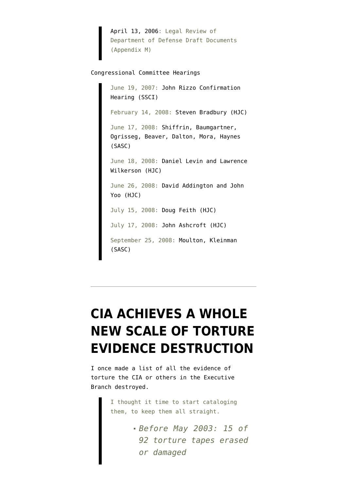[April 13, 2006:](http://www.aclu.org/files/assets/OLC.pdf) Legal Review of Department of Defense Draft Documents (Appendix M)

Congressional Committee Hearings

June 19, 2007: [John Rizzo Confirmation](http://static1.firedoglake.com/28/files//2009/09/070619-rizzo-hearing.pdf) [Hearing \(SSCI\)](http://static1.firedoglake.com/28/files//2009/09/070619-rizzo-hearing.pdf) February 14, 2008: [Steven Bradbury \(HJC\)](http://judiciary.house.gov/hearings/printers/110th/40743.PDF) June 17, 2008: [Shiffrin, Baumgartner,](http://www.fas.org/irp/congress/2008_hr/treatment.pdf) [Ogrisseg, Beaver, Dalton, Mora, Haynes](http://www.fas.org/irp/congress/2008_hr/treatment.pdf) [\(SASC\)](http://www.fas.org/irp/congress/2008_hr/treatment.pdf) June 18, 2008: [Daniel Levin and Lawrence](http://judiciary.house.gov/hearings/printers/110th/42972.PDF) [Wilkerson \(HJC\)](http://judiciary.house.gov/hearings/printers/110th/42972.PDF) June 26, 2008: [David Addington and John](http://judiciary.house.gov/hearings/printers/110th/43152.PDF) [Yoo \(HJC\)](http://judiciary.house.gov/hearings/printers/110th/43152.PDF) July 15, 2008: [Doug Feith \(HJC\)](http://judiciary.house.gov/hearings/printers/110th/43523.PDF) July 17, 2008: [John Ashcroft \(HJC\)](http://judiciary.house.gov/hearings/printers/110th/43527.PDF) September 25, 2008: [Moulton, Kleinman](http://www.fas.org/irp/congress/2008_hr/treatment.pdf) [\(SASC\)](http://www.fas.org/irp/congress/2008_hr/treatment.pdf)

# **[CIA ACHIEVES A WHOLE](https://www.emptywheel.net/2016/05/16/cia-achieves-a-whole-new-scale-of-torture-evidence-destruction/) [NEW SCALE OF TORTURE](https://www.emptywheel.net/2016/05/16/cia-achieves-a-whole-new-scale-of-torture-evidence-destruction/) [EVIDENCE DESTRUCTION](https://www.emptywheel.net/2016/05/16/cia-achieves-a-whole-new-scale-of-torture-evidence-destruction/)**

I [once made a list](https://www.emptywheel.net/2010/03/14/a-catalog-of-the-destroyed-torture-evidence/) of all the evidence of torture the CIA or others in the Executive Branch destroyed.

> I thought it time to start cataloging them, to keep them all straight.

> > *Before May 2003: 15 of 92 torture tapes erased or damaged*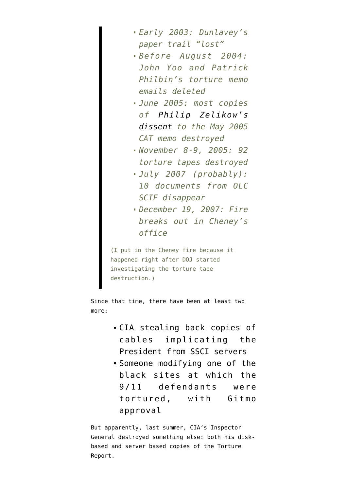- *Early 2003: Dunlavey's paper trail "lost"*
- *Before August 2004: John Yoo and Patrick Philbin's torture memo emails deleted*
- *June 2005: most copies of [Philip Zelikow's](http://emptywheel.firedoglake.com/2009/04/22/zelikows-destroyed-memos/) [dissent](http://emptywheel.firedoglake.com/2009/04/22/zelikows-destroyed-memos/) to the May 2005 CAT memo destroyed*
- *November 8-9, 2005: 92 torture tapes destroyed*
- *July 2007 (probably): 10 documents from OLC SCIF disappear*
- *December 19, 2007: Fire breaks out in Cheney's office*

(I put in the Cheney fire because it happened right after DOJ started investigating the torture tape destruction.)

Since that time, there have been at least two more:

- CIA stealing back copies of cables implicating the President from SSCI servers
- Someone modifying one of the black sites at which the 9/11 defendants were tortured, with Gitmo approval

But apparently, last summer, CIA's Inspector General [destroyed](https://www.yahoo.com/news/senate-report-on-cia-torture-1429636113023030.html?) something else: both his diskbased and server based copies of the Torture Report.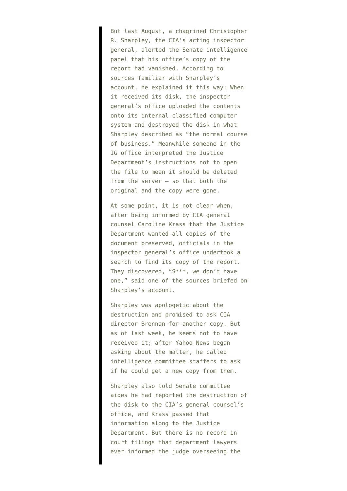But last August, a chagrined Christopher R. Sharpley, the CIA's acting inspector general, alerted the Senate intelligence panel that his office's copy of the report had vanished. According to sources familiar with Sharpley's account, he explained it this way: When it received its disk, the inspector general's office uploaded the contents onto its internal classified computer system and destroyed the disk in what Sharpley described as "the normal course of business." Meanwhile someone in the IG office interpreted the Justice Department's instructions not to open the file to mean it should be deleted from the server — so that both the original and the copy were gone.

At some point, it is not clear when, after being informed by CIA general counsel Caroline Krass that the Justice Department wanted all copies of the document preserved, officials in the inspector general's office undertook a search to find its copy of the report. They discovered, "S\*\*\*, we don't have one," said one of the sources briefed on Sharpley's account.

Sharpley was apologetic about the destruction and promised to ask CIA director Brennan for another copy. But as of last week, he seems not to have received it; after Yahoo News began asking about the matter, he called intelligence committee staffers to ask if he could get a new copy from them.

Sharpley also told Senate committee aides he had reported the destruction of the disk to the CIA's general counsel's office, and Krass passed that information along to the Justice Department. But there is no record in court filings that department lawyers ever informed the judge overseeing the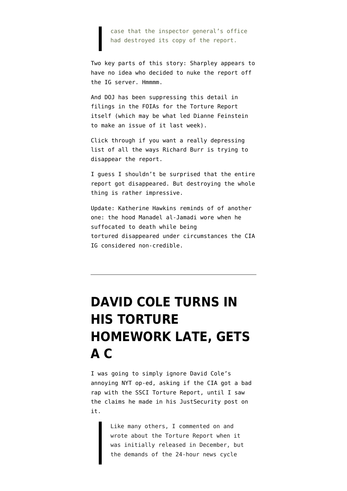case that the inspector general's office had destroyed its copy of the report.

Two key parts of this story: Sharpley appears to have no idea who decided to nuke the report off the IG server. Hmmmm.

And DOJ has been suppressing this detail in filings in the FOIAs for the Torture Report itself (which may be what led Dianne Feinstein to make an issue of it last week).

[Click through](https://www.yahoo.com/news/senate-report-on-cia-torture-1429636113023030.html?) if you want a really depressing list of all the ways Richard Burr is trying to disappear the report.

I guess I shouldn't be surprised that the entire report got disappeared. But destroying the whole thing is rather impressive.

Update: Katherine Hawkins reminds of of another one: the hood Manadel al-Jamadi wore when he suffocated to death while being tortured [disappeared](http://www.detaineetaskforce.org/read/files/assets/basic-html/page114.html) under circumstances the CIA IG considered non-credible.

# **[DAVID COLE TURNS IN](https://www.emptywheel.net/2015/02/22/davic-cole-turns-in-his-torture-homework-late/) [HIS TORTURE](https://www.emptywheel.net/2015/02/22/davic-cole-turns-in-his-torture-homework-late/) [HOMEWORK LATE, GETS](https://www.emptywheel.net/2015/02/22/davic-cole-turns-in-his-torture-homework-late/) [A C](https://www.emptywheel.net/2015/02/22/davic-cole-turns-in-his-torture-homework-late/)**

I was going to simply ignore [David Cole's](http://www.nytimes.com/2015/02/22/opinion/sunday/did-the-torture-report-give-the-cia-a-bum-rap.html?rref=opinion&module=Ribbon&version=context®ion=Header&action=click&contentCollection=Opinion&pgtype=article) [annoying NYT op-ed,](http://www.nytimes.com/2015/02/22/opinion/sunday/did-the-torture-report-give-the-cia-a-bum-rap.html?rref=opinion&module=Ribbon&version=context®ion=Header&action=click&contentCollection=Opinion&pgtype=article) asking if the CIA got a bad rap with the SSCI Torture Report, until I saw the claims he made in his [JustSecurity post](http://justsecurity.org/20267/rereading-torture-report-ssci-focus-gave-perpetrators-pass/) on it.

> Like many others, I commented on and wrote about the Torture Report when it was initially released in December, but the demands of the 24-hour news cycle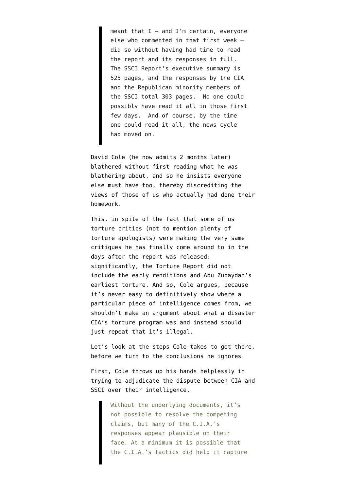meant that  $I -$  and  $I'm$  certain, everyone else who commented in that first week – did so without having had time to read the report and its responses in full. The SSCI Report's executive summary is 525 pages, and the responses by the CIA and the Republican minority members of the SSCI total 303 pages. No one could possibly have read it all in those first few days. And of course, by the time one could read it all, the news cycle had moved on.

David Cole (he now admits 2 months later) blathered without first reading what he was blathering about, and so he insists everyone else must have too, thereby discrediting the views of those of us who actually had done their homework.

This, in spite of the fact that some of us torture critics (not to mention plenty of torture apologists) were making the very same critiques he has finally come around to in the days after the report was released: significantly, the Torture Report did not include the early renditions and Abu Zubaydah's earliest torture. And so, Cole argues, because it's never easy to definitively show where a particular piece of intelligence comes from, we shouldn't make an argument about what a disaster CIA's torture program was and instead should just repeat that it's illegal.

Let's look at the steps Cole takes to get there, before we turn to the conclusions he ignores.

First, Cole throws up his hands helplessly in trying to adjudicate the dispute between CIA and SSCI over their intelligence.

> Without the underlying documents, it's not possible to resolve the competing claims, but many of the C.I.A.'s responses appear plausible on their face. At a minimum it is possible that the C.I.A.'s tactics did help it capture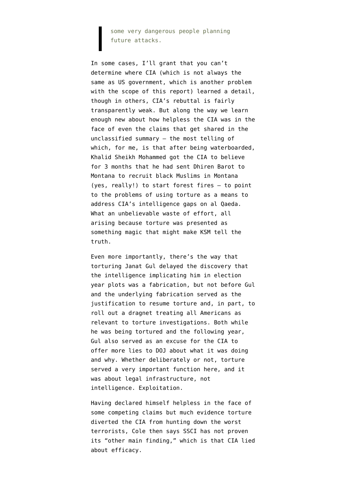### some very dangerous people planning future attacks.

In some cases, I'll grant that you can't determine where CIA (which is not always the same as US government, which is another problem with the scope of this report) learned a detail, though in others, CIA's rebuttal is fairly transparently weak. But along the way we learn enough new about how helpless the CIA was in the face of even the claims that get shared in the unclassified summary — the most telling of which, for me, is that after being waterboarded, Khalid Sheikh Mohammed got the CIA to [believe](https://www.emptywheel.net/2014/12/15/ksm-had-the-cia-believing-in-black-muslim-jihadist-converts-in-montana-for-3-months/) [for 3 months](https://www.emptywheel.net/2014/12/15/ksm-had-the-cia-believing-in-black-muslim-jihadist-converts-in-montana-for-3-months/) that he had sent Dhiren Barot to Montana to recruit black Muslims in Montana (yes, really!) to start forest fires — to point to the problems of using torture as a means to address CIA's intelligence gaps on al Qaeda. What an unbelievable waste of effort, all arising because torture was presented as something magic that might make KSM tell the truth.

Even more importantly, there's the way that torturing Janat Gul delayed the discovery that the intelligence implicating him in election year plots was a fabrication, but not before Gul and the underlying fabrication [served as the](http://america.aljazeera.com/articles/2014/12/22/false-witness-ciatorture.html) [justification](http://america.aljazeera.com/articles/2014/12/22/false-witness-ciatorture.html) to resume torture and, in part, to roll out a dragnet treating all Americans as relevant to torture investigations. Both while he was being tortured and the following year, Gul also served as an excuse for the CIA to offer more lies to DOJ about what it was doing and why. Whether deliberately or not, [torture](https://www.emptywheel.net/2014/12/22/did-jello-jay-rockefeller-endorse-torture-based-on-a-fabrication/) [served a very important function here](https://www.emptywheel.net/2014/12/22/did-jello-jay-rockefeller-endorse-torture-based-on-a-fabrication/), and it was about legal infrastructure, not intelligence. [Exploitation.](https://www.emptywheel.net/2014/12/08/the-debate-about-torture-were-not-having-exploitation/)

Having declared himself helpless in the face of some competing claims but much evidence torture diverted the CIA from hunting down the worst terrorists, Cole then says SSCI has not proven its "other main finding," which is that CIA lied about efficacy.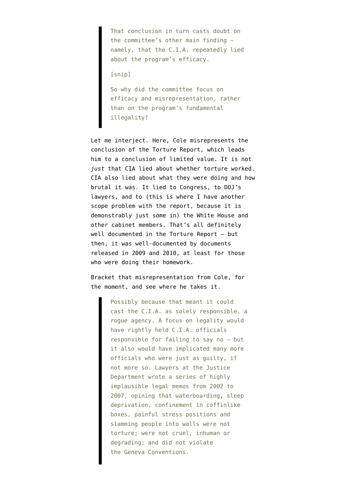That conclusion in turn casts doubt on the committee's other main finding namely, that the C.I.A. repeatedly lied about the program's efficacy.

[snip]

So why did the committee focus on efficacy and misrepresentation, rather than on the program's fundamental illegality?

Let me interject. Here, Cole misrepresents the conclusion of the Torture Report, which leads him to a conclusion of limited value. It is not *just* that CIA lied about whether torture worked. CIA also lied about what they were doing and how brutal it was. It lied to Congress, to DOJ's lawyers, and to (this is where I have another scope problem with the report, because it is demonstrably just some in) the White House and other cabinet members. That's all definitely well documented in the Torture Report — but then, it was [well-documented by documents](https://www.emptywheel.net/2014/04/02/cias-own-records-of-cias-lies-to-congress/) [released in 2009 and 2010,](https://www.emptywheel.net/2014/04/02/cias-own-records-of-cias-lies-to-congress/) at least for those who were doing their homework.

Bracket that misrepresentation from Cole, for the moment, and see where he takes it.

> Possibly because that meant it could cast the C.I.A. as solely responsible, a rogue agency. A focus on legality would have rightly held C.I.A. officials responsible for failing to say no — but it also would have implicated many more officials who were just as guilty, if not more so. Lawyers at the Justice Department wrote a series of highly implausible legal memos from 2002 to 2007, opining that waterboarding, sleep deprivation, confinement in coffinlike boxes, painful stress positions and slamming people into walls were not torture; were not cruel, inhuman or degrading; and did not violate the Geneva Conventions.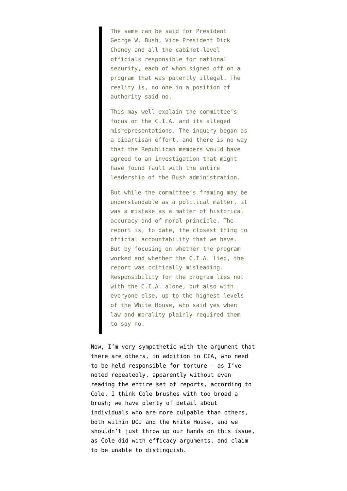The same can be said for President George W. Bush, Vice President Dick Cheney and all the cabinet-level officials responsible for national security, each of whom signed off on a program that was patently illegal. The reality is, no one in a position of authority said no.

This may well explain the committee's focus on the C.I.A. and its alleged misrepresentations. The inquiry began as a bipartisan effort, and there is no way that the Republican members would have agreed to an investigation that might have found fault with the entire leadership of the Bush administration.

But while the committee's framing may be understandable as a political matter, it was a mistake as a matter of historical accuracy and of moral principle. The report is, to date, the closest thing to official accountability that we have. But by focusing on whether the program worked and whether the C.I.A. lied, the report was critically misleading. Responsibility for the program lies not with the C.I.A. alone, but also with everyone else, up to the highest levels of the White House, who said yes when law and morality plainly required them to say no.

Now, I'm very sympathetic with the argument that there are others, in addition to CIA, who need to be held responsible for torture — as I've [noted](http://www.salon.com/2015/01/09/this_was_dick_cheneys_coup_why_americas_torture_reform_is_a_total_sham/) repeatedly, apparently without even reading the entire set of reports, according to Cole. I think Cole brushes with too broad a brush; we have plenty of detail about individuals who are more culpable than others, both within DOJ and the White House, and we shouldn't just throw up our hands on this issue, as Cole did with efficacy arguments, and claim to be unable to distinguish.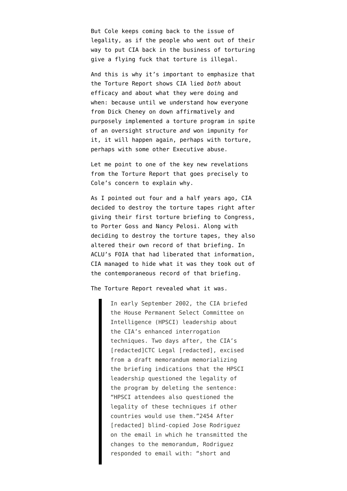But Cole keeps coming back to the issue of legality, as if the people who went out of their way to put CIA back in the business of torturing give a flying fuck that torture is illegal.

And this is why it's important to emphasize that the Torture Report shows CIA lied *both* about efficacy and about what they were doing and when: because until we understand how everyone from Dick Cheney on down affirmatively and purposely implemented a torture program in spite of an oversight structure *and* won impunity for it, it will happen again, perhaps with torture, perhaps with some other Executive abuse.

Let me point to one of the key new revelations from the Torture Report that goes precisely to Cole's concern to explain why.

As I [pointed out four and a half years ago](https://www.emptywheel.net/2010/06/13/they-changed-the-pelosi-briefing-description-after-deciding-to-destroy-torture-tapes/), CIA decided to destroy the torture tapes right after giving their first torture briefing to Congress, to Porter Goss and Nancy Pelosi. Along with deciding to destroy the torture tapes, they also altered their own record of that briefing. In ACLU's FOIA that had liberated that information, CIA managed to hide what it was they took out of the contemporaneous record of that briefing.

The Torture Report [revealed](https://www.emptywheel.net/2014/12/15/jose-rodriguez-cia-lawyer-removed-sentence-about-illegality-from-pelosi-goss-briefing-record/) what it was.

In early September 2002, the CIA briefed the House Permanent Select Committee on Intelligence (HPSCI) leadership about the CIA's enhanced interrogation techniques. Two days after, the CIA's [redacted]CTC Legal [redacted], excised from a draft memorandum memorializing the briefing indications that the HPSCI leadership questioned the legality of the program by deleting the sentence: "HPSCI attendees also questioned the legality of these techniques if other countries would use them."2454 After [redacted] blind-copied Jose Rodriguez on the email in which he transmitted the changes to the memorandum, Rodriguez responded to email with: "short and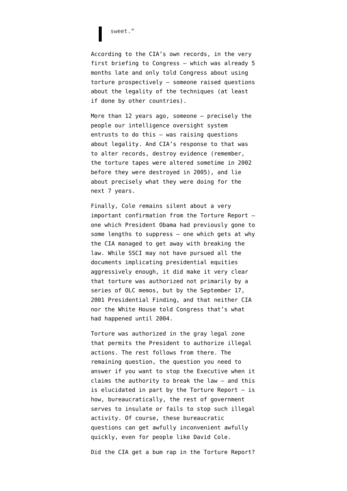sweet."

According to the CIA's own records, in the very first briefing to Congress — which was already 5 months late and only told Congress about using torture prospectively — someone raised questions about the legality of the techniques (at least if done by other countries).

More than 12 years ago, someone — precisely the people our intelligence oversight system entrusts to do this — was raising questions about legality. And CIA's response to that was to alter records, destroy evidence (remember, the torture tapes were altered sometime in 2002 before they were destroyed in 2005), and lie about precisely what they were doing for the next 7 years.

Finally, Cole remains silent about a very important confirmation from the Torture Report one which [President Obama had previously gone to](https://www.emptywheel.net/2012/04/20/the-cias-nscs-presidents-torture-program/) [some lengths to suppress](https://www.emptywheel.net/2012/04/20/the-cias-nscs-presidents-torture-program/) — one which gets at why the CIA managed to get away with breaking the law. While SSCI may not have pursued all the documents implicating presidential equities aggressively enough, it did make it very clear that torture was authorized not primarily by a series of OLC memos, but by the September 17, 2001 Presidential Finding, and that neither CIA nor the White House told Congress that's what had happened until 2004.

Torture was authorized in the gray legal zone that permits the President to authorize illegal actions. [The rest follows from there](http://foreignpolicy.com/2014/12/12/from-bush-to-obama-eyes-wide-shut-torture-drones/). The remaining question, the question you need to answer if you want to stop the Executive when it claims the authority to break the law — and this is elucidated in part by the Torture Report  $-$  is how, bureaucratically, the rest of government serves to insulate or fails to stop such illegal activity. Of course, these bureaucratic questions can get awfully inconvenient awfully quickly, [even for people like David Cole.](https://www.emptywheel.net/2014/05/12/how-david-barron-played-judge-and-jury-for-anwar-al-awlaki/)

Did the CIA get a bum rap in the Torture Report?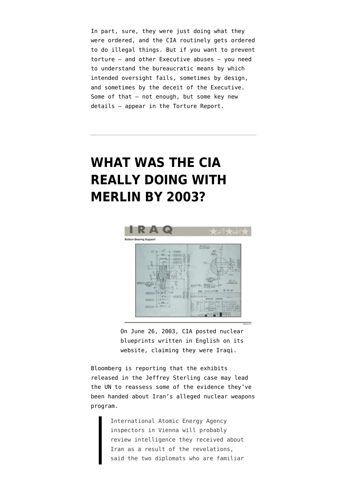In part, sure, they were just doing what they were ordered, and the CIA routinely gets ordered to do illegal things. But if you want to prevent torture — and other Executive abuses — you need to understand the bureaucratic means by which intended oversight fails, sometimes by design, and sometimes by the deceit of the Executive. Some of that — not enough, but some key new details — appear in the Torture Report.

## **[WHAT WAS THE CIA](https://www.emptywheel.net/2015/02/21/what-was-the-cia-really-doing-with-merlin-by-2003/) [REALLY DOING WITH](https://www.emptywheel.net/2015/02/21/what-was-the-cia-really-doing-with-merlin-by-2003/) [MERLIN BY 2003?](https://www.emptywheel.net/2015/02/21/what-was-the-cia-really-doing-with-merlin-by-2003/)**



On June 26, 2003, CIA posted nuclear blueprints written in English on its website, claiming they were Iraqi.

Bloomberg is [reporting](http://www.bloomberg.com/news/articles/2015-02-20/cia-s-nuclear-bomb-sting-said-to-spur-review-in-iran-arms-case) that the exhibits released in the Jeffrey Sterling case may lead the UN to reassess some of the evidence they've been handed about Iran's alleged nuclear weapons program.

> International Atomic Energy Agency inspectors in Vienna will probably review intelligence they received about Iran as a result of the revelations, said the two diplomats who are familiar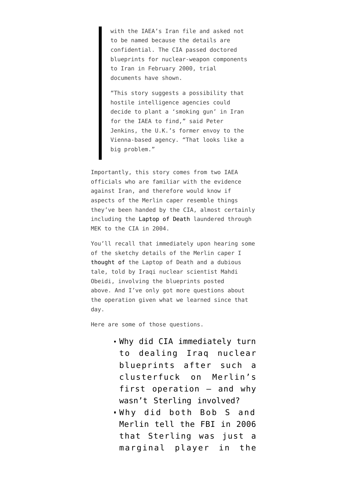with the IAEA's Iran file and asked not to be named because the details are confidential. The CIA passed doctored blueprints for nuclear-weapon components to Iran in February 2000, trial documents have shown.

"This story suggests a possibility that hostile intelligence agencies could decide to plant a 'smoking gun' in Iran for the IAEA to find," said Peter Jenkins, the U.K.'s former envoy to the Vienna-based agency. "That looks like a big problem."

Importantly, this story comes from two IAEA officials who are familiar with the evidence against Iran, and therefore would know if aspects of the Merlin caper resemble things they've been handed by the CIA, almost certainly including the [Laptop of Death](https://www.emptywheel.net/2006/12/16/googling-laptops-of-death/) laundered through MEK to the CIA in 2004.

You'll recall that immediately upon hearing some of the sketchy details of the Merlin caper I [thought of](https://exposefacts.org/the-sterling-trial-merlin-meets-curveball/) the Laptop of Death and a dubious tale, told by Iraqi nuclear scientist Mahdi Obeidi, involving the blueprints posted above. And I've only got more questions about the operation given what we learned since that day.

Here are some of those questions.

- Why did CIA immediately turn to dealing Iraq nuclear blueprints after such a clusterfuck on Merlin's first operation — and why wasn't Sterling involved?
- Why did both Bob S and Merlin tell the FBI in 2006 that Sterling was just a marginal player in the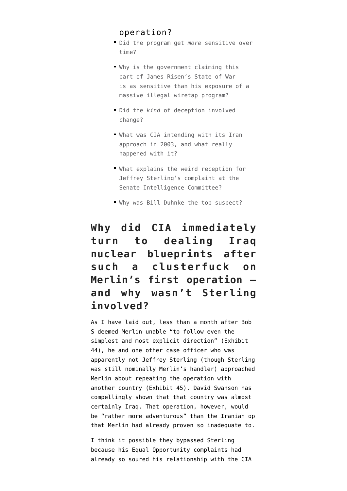### operation?

- Did the program get *more* sensitive over time?
- Why is the government claiming this part of James Risen's State of War is as sensitive than his exposure of a massive illegal wiretap program?
- Did the *kind* of deception involved change?
- What was CIA intending with its Iran approach in 2003, and what really happened with it?
- What explains the weird reception for Jeffrey Sterling's complaint at the Senate Intelligence Committee?
- Why was Bill Duhnke the top suspect?

## **Why did CIA immediately turn to dealing Iraq nuclear blueprints after such a clusterfuck on Merlin's first operation and why wasn't Sterling involved?**

As I have [laid out,](https://www.emptywheel.net/2015/02/15/the-merlin-operation-bob-s-70-thinking/) less than a month after Bob S deemed Merlin unable "to follow even the simplest and most explicit direction" ([Exhibit](https://www.emptywheel.net/wp-content/uploads/2015/01/GX44-47.pdf) [44\)](https://www.emptywheel.net/wp-content/uploads/2015/01/GX44-47.pdf), he and one other case officer who was apparently not Jeffrey Sterling (though Sterling was still nominally Merlin's handler) approached Merlin about repeating the operation with another country (Exhibit 45). David Swanson has compellingly [shown](http://warisacrime.org/content/cia-tried-give-iraq-nuclear-plans-just-iran) that that country was almost certainly Iraq. That operation, however, would be "rather more adventurous" than the Iranian op that Merlin had already proven so inadequate to.

I think it possible they bypassed Sterling because his Equal Opportunity complaints had already so soured his relationship with the CIA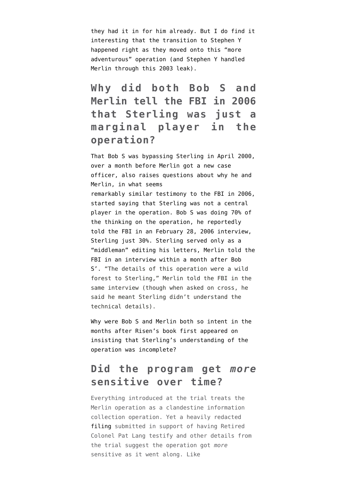they had it in for him already. But I do find it interesting that the transition to Stephen Y happened right as they moved onto this "more adventurous" operation (and Stephen Y handled Merlin through this 2003 leak).

**Why did both Bob S and Merlin tell the FBI in 2006 that Sterling was just a marginal player in the operation?**

That Bob S was bypassing Sterling in April 2000, over a month before Merlin got a new case officer, also raises questions about why he and Merlin, in what seems remarkably similar testimony to the FBI in 2006, started saying that Sterling was not a central player in the operation. Bob S was doing 70% of the thinking on the operation, he reportedly told the FBI in an February 28, 2006 interview, Sterling just 30%. Sterling served only as a "middleman" editing his letters, Merlin told the FBI in an interview within a month after Bob S'. "The details of this operation were a wild forest to Sterling," Merlin told the FBI in the same interview (though when asked on cross, he said he meant Sterling didn't understand the technical details).

Why were Bob S and Merlin both so intent in the months after Risen's book first appeared on insisting that Sterling's understanding of the operation was incomplete?

### **Did the program get** *more* **sensitive over time?**

Everything introduced at the trial treats the Merlin operation as a clandestine information collection operation. Yet a heavily redacted [filing](http://ia902702.us.archive.org/35/items/gov.uscourts.vaed.261167/gov.uscourts.vaed.261167.245.0.pdf) submitted in support of having Retired Colonel Pat Lang testify and other details from the trial suggest the operation got *more* sensitive as it went along. Like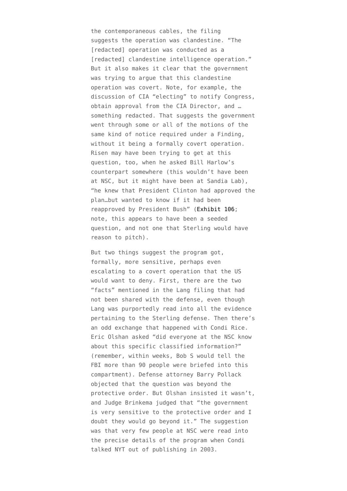the contemporaneous cables, the filing suggests the operation was clandestine. "The [redacted] operation was conducted as a [redacted] clandestine intelligence operation." But it also makes it clear that the government was trying to argue that this clandestine operation was covert. Note, for example, the discussion of CIA "electing" to notify Congress, obtain approval from the CIA Director, and … something redacted. That suggests the government went through some or all of the motions of the same kind of notice required under a Finding, without it being a formally covert operation. Risen may have been trying to get at this question, too, when he asked Bill Harlow's counterpart somewhere (this wouldn't have been at NSC, but it might have been at Sandia Lab), "he knew that President Clinton had approved the plan…but wanted to know if it had been reapproved by President Bush" ([Exhibit 106](https://www.emptywheel.net/wp-content/uploads/2015/01/GX-105-108-CIA-Risen-Response.pdf); note, this appears to have been a seeded question, and not one that Sterling would have reason to pitch).

But two things suggest the program got, formally, more sensitive, perhaps even escalating to a covert operation that the US would want to deny. First, there are the two "facts" mentioned in the Lang filing that had not been shared with the defense, even though Lang was purportedly read into all the evidence pertaining to the Sterling defense. Then there's an odd exchange that happened with Condi Rice. Eric Olshan asked "did everyone at the NSC know about this specific classified information?" (remember, within weeks, Bob S would tell the FBI more than 90 people were briefed into this compartment). Defense attorney Barry Pollack objected that the question was beyond the protective order. But Olshan insisted it wasn't, and Judge Brinkema judged that "the government is very sensitive to the protective order and I doubt they would go beyond it." The suggestion was that very few people at NSC were read into the precise details of the program when Condi talked NYT out of publishing in 2003.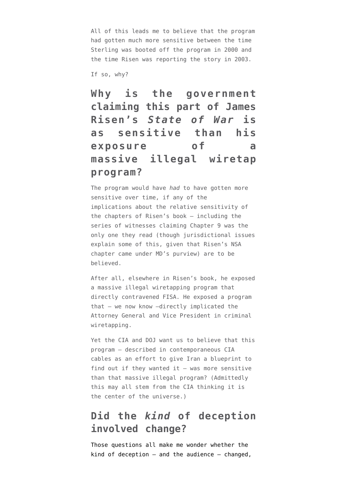All of this leads me to believe that the program had gotten much more sensitive between the time Sterling was booted off the program in 2000 and the time Risen was reporting the story in 2003.

If so, why?

**Why is the government claiming this part of James Risen's** *State of War* **is as sensitive than his exposure of a massive illegal wiretap program?**

The program would have *had* to have gotten more sensitive over time, if any of the implications about the relative sensitivity of the chapters of Risen's book — including the series of witnesses claiming Chapter 9 was the only one they read (though jurisdictional issues explain some of this, given that Risen's NSA chapter came under MD's purview) are to be believed.

After all, elsewhere in Risen's book, he exposed a massive illegal wiretapping program that directly contravened FISA. He exposed a program that — we now know –directly implicated the Attorney General and Vice President in criminal wiretapping.

Yet the CIA and DOJ want us to believe that this program — described in contemporaneous CIA cables as an effort to give Iran a blueprint to find out if they wanted it  $-$  was more sensitive than that massive illegal program? (Admittedly this may all stem from the CIA thinking it is the center of the universe.)

## **Did the** *kind* **of deception involved change?**

Those questions all make me wonder whether the kind of deception  $-$  and the audience  $-$  changed,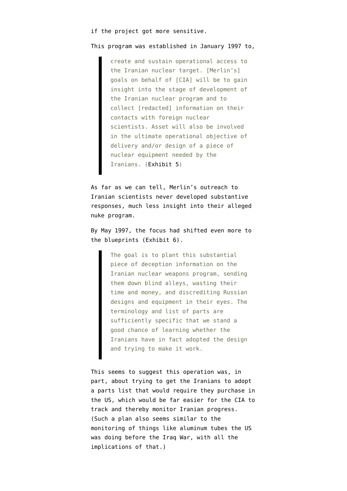if the project got more sensitive.

This program was established in January 1997 to,

create and sustain operational access to the Iranian nuclear target. [Merlin's] goals on behalf of [CIA] will be to gain insight into the stage of development of the Iranian nuclear program and to collect [redacted] information on their contacts with foreign nuclear scientists. Asset will also be involved in the ultimate operational objective of delivery and/or design of a piece of nuclear equipment needed by the Iranians. [\(Exhibit 5](https://www.emptywheel.net/wp-content/uploads/2015/01/GX6-15.pdf))

As far as we can tell, Merlin's outreach to Iranian scientists never developed substantive responses, much less insight into their alleged nuke program.

By May 1997, the focus had shifted even more to the blueprints (Exhibit 6).

> The goal is to plant this substantial piece of deception information on the Iranian nuclear weapons program, sending them down blind alleys, wasting their time and money, and discrediting Russian designs and equipment in their eyes. The terminology and list of parts are sufficiently specific that we stand a good chance of learning whether the Iranians have in fact adopted the design and trying to make it work.

This seems to suggest this operation was, in part, about trying to get the Iranians to adopt a parts list that would require they purchase in the US, which would be far easier for the CIA to track and thereby monitor Iranian progress. (Such a plan also seems similar to the monitoring of things like aluminum tubes the US was doing before the Iraq War, with all the implications of that.)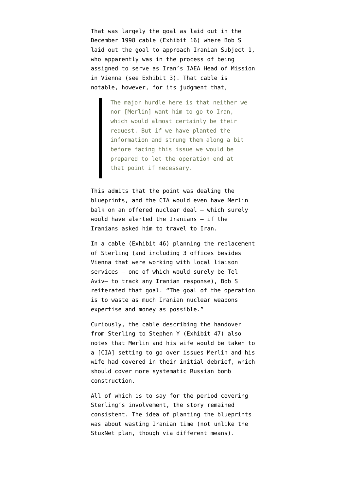That was largely the goal as laid out in the December 1998 cable (Exhibit 16) where Bob S laid out the goal to approach Iranian Subject 1, who apparently was in the process of being assigned to serve as Iran's IAEA Head of Mission in Vienna (see [Exhibit 3\)](https://www.emptywheel.net/wp-content/uploads/2015/01/DX-3-4.pdf). That cable is notable, however, for its judgment that,

> The major hurdle here is that neither we nor [Merlin] want him to go to Iran, which would almost certainly be their request. But if we have planted the information and strung them along a bit before facing this issue we would be prepared to let the operation end at that point if necessary.

This admits that the point was dealing the blueprints, and the CIA would even have Merlin balk on an offered nuclear deal — which surely would have alerted the Iranians — if the Iranians asked him to travel to Iran.

In a cable [\(Exhibit 46](https://www.emptywheel.net/wp-content/uploads/2015/01/GX44-47.pdf)) planning the replacement of Sterling (and including 3 offices besides Vienna that were working with local liaison services — one of which would surely be Tel Aviv– to track any Iranian response), Bob S reiterated that goal. "The goal of the operation is to waste as much Iranian nuclear weapons expertise and money as possible."

Curiously, the cable describing the handover from Sterling to Stephen Y [\(Exhibit 47\)](https://www.emptywheel.net/wp-content/uploads/2015/01/GX44-47.pdf) also notes that Merlin and his wife would be taken to a [CIA] setting to go over issues Merlin and his wife had covered in their initial debrief, which should cover more systematic Russian bomb construction.

All of which is to say for the period covering Sterling's involvement, the story remained consistent. The idea of planting the blueprints was about wasting Iranian time (not unlike the StuxNet plan, though via different means).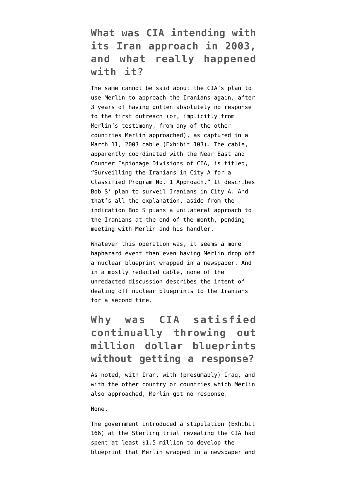### **What was CIA intending with its Iran approach in 2003, and what really happened with it?**

The same cannot be said about the CIA's plan to use Merlin to approach the Iranians again, after 3 years of having gotten absolutely no response to the first outreach (or, implicitly from Merlin's testimony, from any of the other countries Merlin approached), as captured in a March 11, 2003 cable [\(Exhibit 103\)](https://www.emptywheel.net/wp-content/uploads/2015/01/GX103.pdf). The cable, apparently coordinated with the Near East and Counter Espionage Divisions of CIA, is titled, "Surveilling the Iranians in City A for a Classified Program No. 1 Approach." It describes Bob S' plan to surveil Iranians in City A. And that's all the explanation, aside from the indication Bob S plans a unilateral approach to the Iranians at the end of the month, pending meeting with Merlin and his handler.

Whatever this operation was, it seems a more haphazard event than even having Merlin drop off a nuclear blueprint wrapped in a newspaper. And in a mostly redacted cable, none of the unredacted discussion describes the intent of dealing off nuclear blueprints to the Iranians for a second time.

### **Why was CIA satisfied continually throwing out million dollar blueprints without getting a response?**

As noted, with Iran, with (presumably) Iraq, and with the other country or countries which Merlin also approached, Merlin got no response.

#### None.

The government introduced a stipulation ([Exhibit](https://www.emptywheel.net/wp-content/uploads/2015/01/GX-161-163-166-168.pdf) [166\)](https://www.emptywheel.net/wp-content/uploads/2015/01/GX-161-163-166-168.pdf) at the Sterling trial revealing the CIA had spent at least \$1.5 million to develop the blueprint that Merlin wrapped in a newspaper and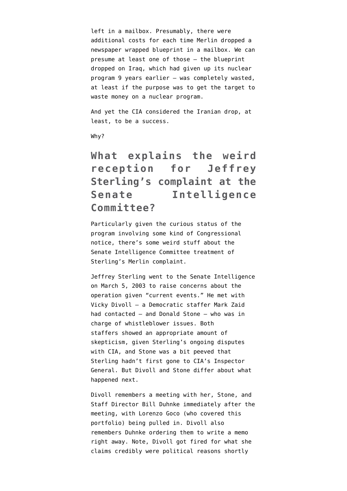left in a mailbox. Presumably, there were additional costs for each time Merlin dropped a newspaper wrapped blueprint in a mailbox. We can presume at least one of those — the blueprint dropped on Iraq, which had given up its nuclear program 9 years earlier — was completely wasted, at least if the purpose was to get the target to waste money on a nuclear program.

And yet the CIA considered the Iranian drop, at least, to be a success.

Why?

### **What explains the weird reception for Jeffrey Sterling's complaint at the Senate Intelligence Committee?**

Particularly given the curious status of the program involving some kind of Congressional notice, there's some weird stuff about the Senate Intelligence Committee treatment of Sterling's Merlin complaint.

Jeffrey Sterling went to the Senate Intelligence on March 5, 2003 to raise concerns about the operation given "current events." He met with Vicky Divoll — a Democratic staffer Mark Zaid had contacted — and Donald Stone — who was in charge of whistleblower issues. Both staffers showed an appropriate amount of skepticism, given Sterling's ongoing disputes with CIA, and Stone was a bit peeved that Sterling hadn't first gone to CIA's Inspector General. But Divoll and Stone differ about what happened next.

Divoll remembers a meeting with her, Stone, and Staff Director Bill Duhnke immediately after the meeting, with Lorenzo Goco (who covered this portfolio) being pulled in. Divoll also remembers Duhnke ordering them to write a memo right away. Note, Divoll got fired for what she claims credibly were political reasons shortly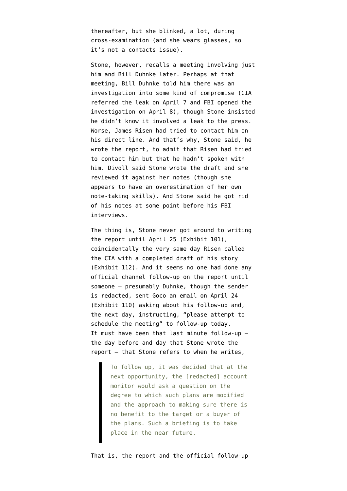thereafter, but she blinked, a lot, during cross-examination (and she wears glasses, so it's not a contacts issue).

Stone, however, recalls a meeting involving just him and Bill Duhnke later. Perhaps at that meeting, Bill Duhnke told him there was an investigation into some kind of compromise (CIA referred the leak on April 7 and FBI opened the investigation on April 8), though Stone insisted he didn't know it involved a leak to the press. Worse, James Risen had tried to contact him on his direct line. And that's why, Stone said, he wrote the report, to admit that Risen had tried to contact him but that he hadn't spoken with him. Divoll said Stone wrote the draft and she reviewed it against her notes (though she appears to have an overestimation of her own note-taking skills). And Stone said he got rid of his notes at some point before his FBI interviews.

The thing is, Stone never got around to writing the report until April 25 [\(Exhibit 101\)](https://www.emptywheel.net/wp-content/uploads/2015/01/GX-100-101-110-117-119-124.pdf), coincidentally the very same day Risen called the CIA with a completed draft of his story ([Exhibit 112](https://www.emptywheel.net/wp-content/uploads/2015/01/GX-105-108-CIA-Risen-Response.pdf)). And it seems no one had done any official channel follow-up on the report until someone — presumably Duhnke, though the sender is redacted, sent Goco an email on April 24 (Exhibit 110) asking about his follow-up and, the next day, instructing, "please attempt to schedule the meeting" to follow-up today. It must have been that last minute follow-up the day before and day that Stone wrote the report — that Stone refers to when he writes,

> To follow up, it was decided that at the next opportunity, the [redacted] account monitor would ask a question on the degree to which such plans are modified and the approach to making sure there is no benefit to the target or a buyer of the plans. Such a briefing is to take place in the near future.

That is, the report and the official follow-up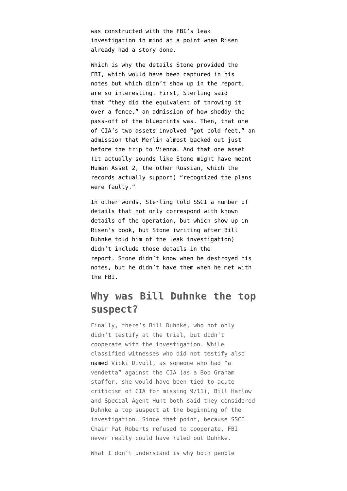was constructed with the FBI's leak investigation in mind at a point when Risen already had a story done.

Which is why the details Stone provided the FBI, which would have been captured in his notes but which didn't show up in the report, are so interesting. First, Sterling said that "they did the equivalent of throwing it over a fence," an admission of how shoddy the pass-off of the blueprints was. Then, that one of CIA's two assets involved "got cold feet," an admission that Merlin almost backed out just before the trip to Vienna. And that one asset (it actually sounds like Stone might have meant Human Asset 2, the other Russian, [which the](https://www.emptywheel.net/2015/02/02/merlin-both-russian-engineers-had-problems-with-the-blueprints/) [records actually support\)](https://www.emptywheel.net/2015/02/02/merlin-both-russian-engineers-had-problems-with-the-blueprints/) "recognized the plans were faulty."

In other words, Sterling told SSCI a number of details that not only correspond with known details of the operation, but which show up in Risen's book, but Stone (writing after Bill Duhnke told him of the leak investigation) didn't include those details in the report. Stone didn't know when he destroyed his notes, but he didn't have them when he met with the FBI.

### **Why was Bill Duhnke the top suspect?**

Finally, there's Bill Duhnke, who not only didn't testify at the trial, but didn't cooperate with the investigation. While classified witnesses who did not testify also [named](http://fas.org/sgp/jud/sterling/083011-reply168.pdf) Vicki Divoll, as someone who had "a vendetta" against the CIA (as a Bob Graham staffer, she would have been tied to acute criticism of CIA for missing 9/11), Bill Harlow and Special Agent Hunt both said they considered Duhnke a top suspect at the beginning of the investigation. Since that point, because SSCI Chair Pat Roberts refused to cooperate, FBI never really could have ruled out Duhnke.

What I don't understand is why both people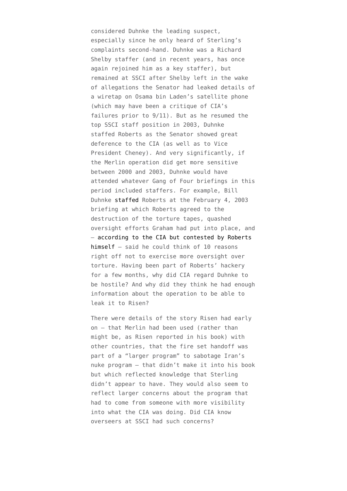considered Duhnke the leading suspect, especially since he only heard of Sterling's complaints second-hand. Duhnke was a Richard Shelby staffer (and in recent years, has once again rejoined him as a key staffer), but remained at SSCI after Shelby left in the wake of allegations the Senator had leaked details of a wiretap on Osama bin Laden's satellite phone (which may have been a critique of CIA's failures prior to 9/11). But as he resumed the top SSCI staff position in 2003, Duhnke staffed Roberts as the Senator showed great deference to the CIA (as well as to Vice President Cheney). And very significantly, if the Merlin operation did get more sensitive between 2000 and 2003, Duhnke would have attended whatever Gang of Four briefings in this period included staffers. For example, Bill Duhnke [staffed](https://www.emptywheel.net/wp-content/uploads/2009/04/090506-Torture-Briefings.pdf) Roberts at the February 4, 2003 briefing at which Roberts agreed to the destruction of the torture tapes, quashed oversight efforts Graham had put into place, and — [according to the CIA but contested by Roberts](https://www.emptywheel.net/2010/02/22/pat-roberts-10-reasons-right-off-not-to-exercise-oversight-over-torture/) [himself](https://www.emptywheel.net/2010/02/22/pat-roberts-10-reasons-right-off-not-to-exercise-oversight-over-torture/) — said he could think of 10 reasons right off not to exercise more oversight over torture. Having been part of Roberts' hackery for a few months, why did CIA regard Duhnke to be hostile? And why did they think he had enough information about the operation to be able to leak it to Risen?

There were details of the story Risen had early on — that Merlin had been used (rather than might be, as Risen reported in his book) with other countries, that the fire set handoff was part of a "larger program" to sabotage Iran's nuke program — that didn't make it into his book but which reflected knowledge that Sterling didn't appear to have. They would also seem to reflect larger concerns about the program that had to come from someone with more visibility into what the CIA was doing. Did CIA know overseers at SSCI had such concerns?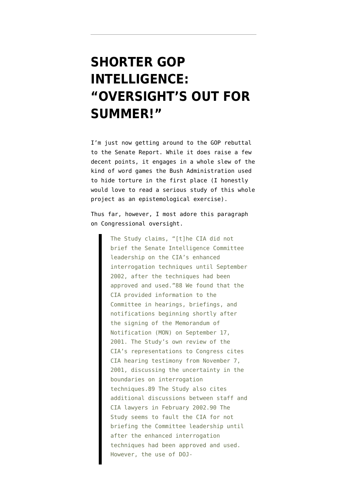## **[SHORTER GOP](https://www.emptywheel.net/2014/12/17/shorter-gop-intelligence-oversight-oversights-out-for-summer/) [INTELLIGENCE:](https://www.emptywheel.net/2014/12/17/shorter-gop-intelligence-oversight-oversights-out-for-summer/) ["OVERSIGHT'S OUT FOR](https://www.emptywheel.net/2014/12/17/shorter-gop-intelligence-oversight-oversights-out-for-summer/) [SUMMER!"](https://www.emptywheel.net/2014/12/17/shorter-gop-intelligence-oversight-oversights-out-for-summer/)**

I'm just now getting around to the GOP [rebuttal](http://www.intelligence.senate.gov/study2014/minority-views.pdf) to the Senate Report. While it does raise a few decent points, it engages in a whole slew of the kind of word games the Bush Administration used to hide torture in the first place (I honestly would love to read a serious study of this whole project as an epistemological exercise).

Thus far, however, I most adore this paragraph on Congressional oversight.

> The Study claims, "[t]he CIA did not brief the Senate Intelligence Committee leadership on the CIA's enhanced interrogation techniques until September 2002, after the techniques had been approved and used."88 We found that the CIA provided information to the Committee in hearings, briefings, and notifications beginning shortly after the signing of the Memorandum of Notification (MON) on September 17, 2001. The Study's own review of the CIA's representations to Congress cites CIA hearing testimony from November 7, 2001, discussing the uncertainty in the boundaries on interrogation techniques.89 The Study also cites additional discussions between staff and CIA lawyers in February 2002.90 The Study seems to fault the CIA for not briefing the Committee leadership until after the enhanced interrogation techniques had been approved and used. However, the use of DOJ-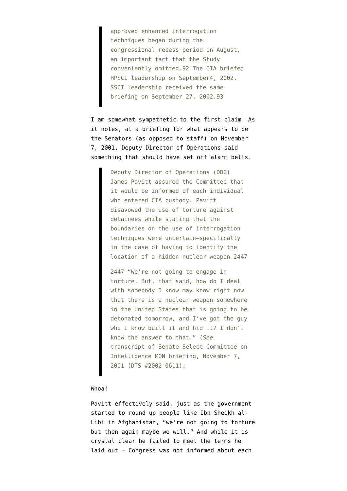approved enhanced interrogation techniques began during the congressional recess period in August, an important fact that the Study conveniently omitted.92 The CIA briefed HPSCI leadership on September4, 2002. SSCI leadership received the same briefing on September 27, 2002.93

I am somewhat sympathetic to the first claim. As it notes, at a briefing for what appears to be the Senators (as opposed to staff) on November 7, 2001, Deputy Director of Operations [said](http://www.intelligence.senate.gov/study2014/executive-summary.pdf) something that should have set off alarm bells.

> Deputy Director of Operations (DDO) James Pavitt assured the Committee that it would be informed of each individual who entered CIA custody. Pavitt disavowed the use of torture against detainees while stating that the boundaries on the use of interrogation techniques were uncertain—specifically in the case of having to identify the location of a hidden nuclear weapon.2447

> 2447 "We're not going to engage in torture. But, that said, how do I deal with somebody I know may know right now that there is a nuclear weapon somewhere in the United States that is going to be detonated tomorrow, and I've got the guy who I know built it and hid it? I don't know the answer to that." (*See* transcript of Senate Select Committee on Intelligence MON briefing, November 7, 2001 (DTS #2002-0611);

#### Whoa!

Pavitt effectively said, just as the government started to round up people like Ibn Sheikh al-Libi in Afghanistan, "we're not going to torture but then again maybe we will." And while it is crystal clear he failed to meet the terms he laid out — Congress was not informed about each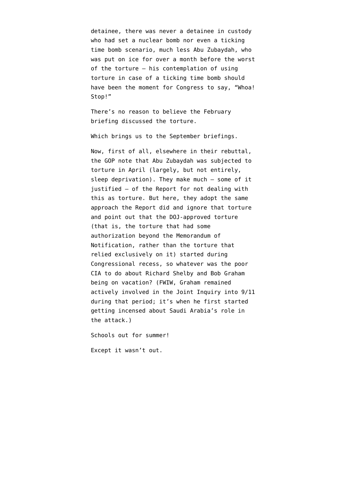detainee, there was never a detainee in custody who had set a nuclear bomb nor even a ticking time bomb scenario, much less Abu Zubaydah, who was put on ice for over a month before the worst of the torture — his contemplation of using torture in case of a ticking time bomb should have been the moment for Congress to say, "Whoa! Stop!"

There's no reason to believe the February briefing discussed the torture.

Which brings us to the September briefings.

Now, first of all, elsewhere in their rebuttal, the GOP note that Abu Zubaydah was subjected to torture in April (largely, but not entirely, sleep deprivation). They make much — some of it justified — of the Report for not dealing with this as torture. But here, they adopt the same approach the Report did and ignore that torture and point out that the DOJ-approved torture (that is, the torture that had some authorization beyond the Memorandum of Notification, rather than the torture that relied exclusively on it) started during Congressional recess, so whatever was the poor CIA to do about Richard Shelby and Bob Graham being on vacation? (FWIW, Graham remained actively involved in the Joint Inquiry into 9/11 during that period; it's when he first started getting incensed about Saudi Arabia's role in the attack.)

Schools out for summer! Except it wasn't out.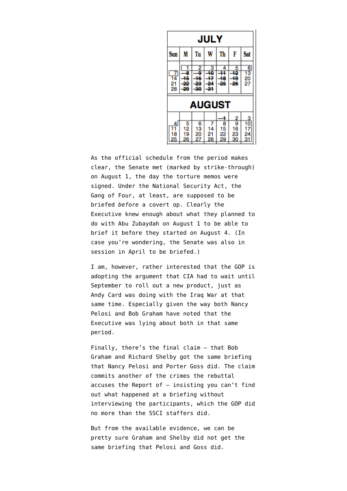

As the [official schedule](http://www.gpo.gov/fdsys/pkg/CCAL-107scal-S2/pdf/CCAL-107scal-S2-pt0.pdf#page=3) from the period makes clear, the Senate met (marked by strike-through) on August 1, the day the torture memos were signed. Under the National Security Act, the Gang of Four, at least, are supposed to be briefed *before* a covert op. Clearly the Executive knew enough about what they planned to do with Abu Zubaydah on August 1 to be able to brief it before they started on August 4. (In case you're wondering, the Senate was also in session in April to be briefed.)

I am, however, rather interested that the GOP is adopting the argument that CIA had to wait until September to roll out a new product, just as Andy Card was doing with the Iraq War at that same time. Especially given the way both Nancy Pelosi and Bob Graham have [noted](https://www.emptywheel.net/2009/05/15/dick-cheney-torture-iraq-and-valerie-plame/) that the Executive was lying about both in that same period.

Finally, there's the final claim — that Bob Graham and Richard Shelby got the same briefing that Nancy Pelosi and Porter Goss did. The claim commits another of the crimes the rebuttal accuses the Report of — insisting you can't find out what happened at a briefing without interviewing the participants, which the GOP did no more than the SSCI staffers did.

But from the available evidence, we can be pretty sure Graham and Shelby did not get the same briefing that Pelosi and Goss did.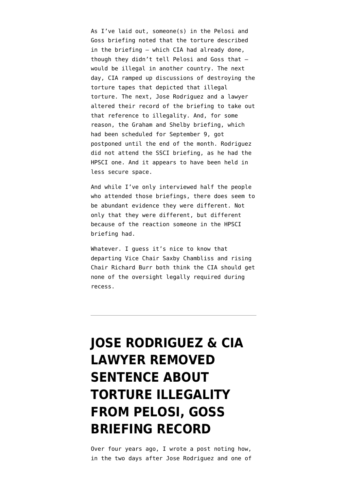As I've [laid out,](https://www.emptywheel.net/2014/12/15/jose-rodriguez-cia-lawyer-removed-sentence-about-illegality-from-pelosi-goss-briefing-record/) someone(s) in the Pelosi and Goss briefing noted that the torture described in the briefing — which CIA had already done, though they didn't tell Pelosi and Goss that would be illegal in another country. The next day, CIA ramped up discussions of destroying the torture tapes that depicted that illegal torture. The next, Jose Rodriguez and a lawyer altered their record of the briefing to take out that reference to illegality. And, for some reason, the Graham and Shelby briefing, which had been scheduled for September 9, got postponed until the end of the month. Rodriguez did not attend the SSCI briefing, as he had the HPSCI one. And it appears to have been held in less secure space.

And while I've only interviewed half the people who attended those briefings, there does seem to be abundant evidence they were different. Not only that they were different, but different because of the reaction someone in the HPSCI briefing had.

Whatever. I guess it's nice to know that departing Vice Chair Saxby Chambliss and rising Chair Richard Burr both think the CIA should get none of the oversight legally required during recess.

# **[JOSE RODRIGUEZ & CIA](https://www.emptywheel.net/2014/12/15/jose-rodriguez-cia-lawyer-removed-sentence-about-illegality-from-pelosi-goss-briefing-record/) [LAWYER REMOVED](https://www.emptywheel.net/2014/12/15/jose-rodriguez-cia-lawyer-removed-sentence-about-illegality-from-pelosi-goss-briefing-record/) [SENTENCE ABOUT](https://www.emptywheel.net/2014/12/15/jose-rodriguez-cia-lawyer-removed-sentence-about-illegality-from-pelosi-goss-briefing-record/) [TORTURE ILLEGALITY](https://www.emptywheel.net/2014/12/15/jose-rodriguez-cia-lawyer-removed-sentence-about-illegality-from-pelosi-goss-briefing-record/) [FROM PELOSI, GOSS](https://www.emptywheel.net/2014/12/15/jose-rodriguez-cia-lawyer-removed-sentence-about-illegality-from-pelosi-goss-briefing-record/) [BRIEFING RECORD](https://www.emptywheel.net/2014/12/15/jose-rodriguez-cia-lawyer-removed-sentence-about-illegality-from-pelosi-goss-briefing-record/)**

Over four years ago, I wrote [a post](https://www.emptywheel.net/2010/06/13/they-changed-the-pelosi-briefing-description-after-deciding-to-destroy-torture-tapes/) noting how, in the two days after Jose Rodriguez and one of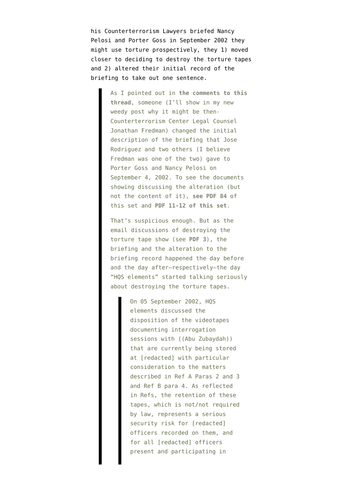his Counterterrorism Lawyers briefed Nancy Pelosi and Porter Goss in September 2002 they might use torture prospectively, they 1) moved closer to deciding to destroy the torture tapes and 2) altered their initial record of the briefing to take out one sentence.

> As I pointed out in **[the comments to this](http://emptywheel.firedoglake.com/2010/06/07/jose-rodriguez-briefed-pelosi-and-goss-in-deceptive-abu-zubaydah-briefing/) [thread](http://emptywheel.firedoglake.com/2010/06/07/jose-rodriguez-briefed-pelosi-and-goss-in-deceptive-abu-zubaydah-briefing/)**, someone (I'll show in my new weedy post why it might be then-Counterterrorism Center Legal Counsel Jonathan Fredman) changed the initial description of the briefing that Jose Rodriguez and two others (I believe Fredman was one of the two) gave to Porter Goss and Nancy Pelosi on September 4, 2002. To see the documents showing discussing the alteration (but not the content of it), **[see PDF 84](http://www.judicialwatch.org/files/documents/2010/CIApart2-06042010.pdf)** of this set and **[PDF 11-12 of this set](http://www.judicialwatch.org/files/documents/2010/CIApart5-06042010.pdf)**.

> That's suspicious enough. But as the email discussions of destroying the torture tape show (see **[PDF 3](http://www.aclu.org/files/assets/cia_release20100415_p01-09.pdf)**), the briefing and the alteration to the briefing record happened the day before and the day after–respectively–the day "HQS elements" started talking seriously about destroying the torture tapes.

> > On 05 September 2002, HQS elements discussed the disposition of the videotapes documenting interrogation sessions with ((Abu Zubaydah)) that are currently being stored at [redacted] with particular consideration to the matters described in Ref A Paras 2 and 3 and Ref B para 4. As reflected in Refs, the retention of these tapes, which is not/not required by law, represents a serious security risk for [redacted] officers recorded on them, and for all [redacted] officers present and participating in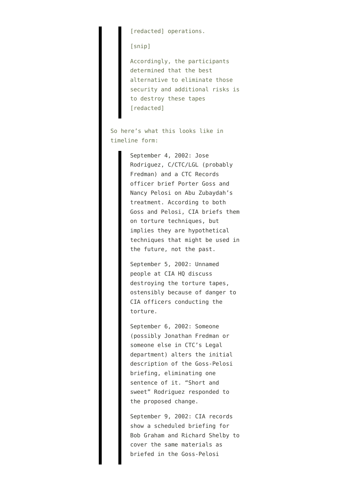[redacted] operations.

[snip]

Accordingly, the participants determined that the best alternative to eliminate those security and additional risks is to destroy these tapes [redacted]

So here's what this looks like in timeline form:

> September 4, 2002: Jose Rodriguez, C/CTC/LGL (probably Fredman) and a CTC Records officer brief Porter Goss and Nancy Pelosi on Abu Zubaydah's treatment. According to both Goss and Pelosi, CIA briefs them on torture techniques, but implies they are hypothetical techniques that might be used in the future, not the past.

September 5, 2002: Unnamed people at CIA HQ discuss destroying the torture tapes, ostensibly because of danger to CIA officers conducting the torture.

September 6, 2002: Someone (possibly Jonathan Fredman or someone else in CTC's Legal department) alters the initial description of the Goss-Pelosi briefing, eliminating one sentence of it. "Short and sweet" Rodriguez responded to the proposed change.

September 9, 2002: CIA records show a scheduled briefing for Bob Graham and Richard Shelby to cover the same materials as briefed in the Goss-Pelosi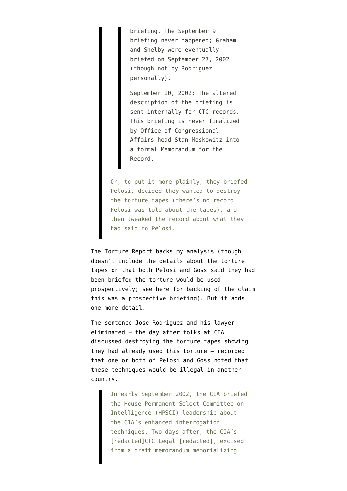briefing. The September 9 briefing never happened; Graham and Shelby were eventually briefed on September 27, 2002 (though not by Rodriguez personally).

September 10, 2002: The altered description of the briefing is sent internally for CTC records. This briefing is never finalized by Office of Congressional Affairs head Stan Moskowitz into a formal Memorandum for the Record.

Or, to put it more plainly, they briefed Pelosi, decided they wanted to destroy the torture tapes (there's no record Pelosi was told about the tapes), and then tweaked the record about what they had said to Pelosi.

The [Torture Report](http://www.intelligence.senate.gov/study2014/sscistudy1.pdfhttp://www.intelligence.senate.gov/study2014/sscistudy1.pdf) backs my analysis (though doesn't include the details about the torture tapes or that both Pelosi and Goss said they had been briefed the torture would be used prospectively; see [here](https://www.emptywheel.net/2009/05/21/goss-wont-elaborate-on-torture-techniques-that-were-to-be-employed/) for backing of the claim this was a prospective briefing). But it adds one more detail.

The sentence Jose Rodriguez and his lawyer eliminated — the day after folks at CIA discussed destroying the torture tapes showing they had already used this torture — recorded that one or both of Pelosi and Goss noted that these techniques would be illegal in another country.

> In early September 2002, the CIA briefed the House Permanent Select Committee on Intelligence (HPSCI) leadership about the CIA's enhanced interrogation techniques. Two days after, the CIA's [redacted]CTC Legal [redacted], excised from a draft memorandum memorializing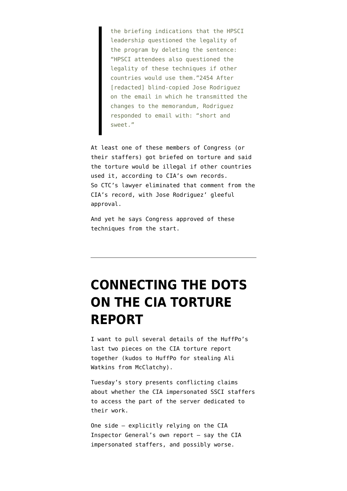the briefing indications that the HPSCI leadership questioned the legality of the program by deleting the sentence: "HPSCI attendees also questioned the legality of these techniques if other countries would use them."2454 After [redacted] blind-copied Jose Rodriguez on the email in which he transmitted the changes to the memorandum, Rodriguez responded to email with: "short and sweet."

At least one of these members of Congress (or their staffers) got briefed on torture and said the torture would be illegal if other countries used it, according to CIA's own records. So CTC's lawyer eliminated that comment from the CIA's record, with Jose Rodriguez' gleeful approval.

And yet he says Congress approved of these techniques from the start.

# **[CONNECTING THE DOTS](https://www.emptywheel.net/2014/10/23/connecting-the-dots-on-the-cia-torture-report/) [ON THE CIA TORTURE](https://www.emptywheel.net/2014/10/23/connecting-the-dots-on-the-cia-torture-report/) [REPORT](https://www.emptywheel.net/2014/10/23/connecting-the-dots-on-the-cia-torture-report/)**

I want to pull several details of the HuffPo's last two pieces on the CIA torture report together (kudos to HuffPo for stealing Ali Watkins from McClatchy).

[Tuesday's story](http://www.huffingtonpost.com/2014/10/21/white-house-cia-torture_n_6018488.html) presents conflicting claims about whether the CIA impersonated SSCI staffers to access the part of the server dedicated to their work.

One side — explicitly relying on the CIA Inspector General's own report — say the CIA impersonated staffers, and possibly worse.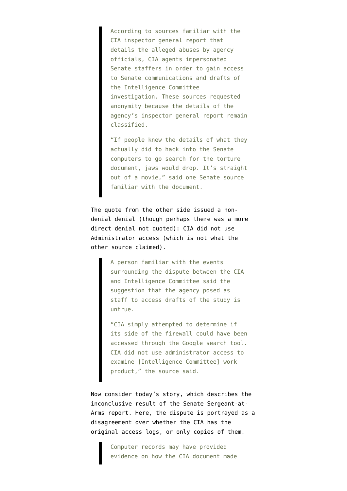According to sources familiar with the CIA inspector general report that details the alleged abuses by agency officials, CIA agents impersonated Senate staffers in order to gain access to Senate communications and drafts of the Intelligence Committee investigation. These sources requested anonymity because the details of the agency's inspector general report remain classified.

"If people knew the details of what they actually did to hack into the Senate computers to go search for the torture document, jaws would drop. It's straight out of a movie," said one Senate source familiar with the document.

The quote from the other side issued a nondenial denial (though perhaps there was a more direct denial not quoted): CIA did not use Administrator access (which is not what the other source claimed).

> A person familiar with the events surrounding the dispute between the CIA and Intelligence Committee said the suggestion that the agency posed as staff to access drafts of the study is untrue.

"CIA simply attempted to determine if its side of the firewall could have been accessed through the Google search tool. CIA did not use administrator access to examine [Intelligence Committee] work product," the source said.

Now consider [today's story,](http://www.huffingtonpost.com/2014/10/23/cia-senate-spying-sergeant-at-arms_n_6031744.html?1414066608) which describes the inconclusive result of the Senate Sergeant-at-Arms report. Here, the dispute is portrayed as a disagreement over whether the CIA has the original access logs, or only copies of them.

> Computer records may have provided evidence on how the CIA document made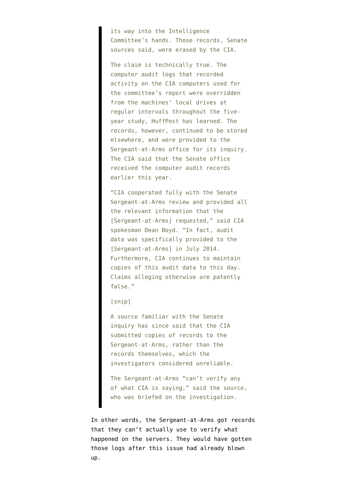its way into the Intelligence Committee's hands. Those records, Senate sources said, were erased by the CIA.

The claim is technically true. The computer audit logs that recorded activity on the CIA computers used for the committee's report were overridden from the machines' local drives at regular intervals throughout the fiveyear study, HuffPost has learned. The records, however, continued to be stored elsewhere, and were provided to the Sergeant-at-Arms office for its inquiry. The CIA said that the Senate office received the computer audit records earlier this year.

"CIA cooperated fully with the Senate Sergeant-at-Arms review and provided all the relevant information that the [Sergeant-at-Arms] requested," said CIA spokesman Dean Boyd. "In fact, audit data was specifically provided to the [Sergeant-at-Arms] in July 2014. Furthermore, CIA continues to maintain copies of this audit data to this day. Claims alleging otherwise are patently false."

### [snip]

A source familiar with the Senate inquiry has since said that the CIA submitted copies of records to the Sergeant-at-Arms, rather than the records themselves, which the investigators considered unreliable.

The Sergeant-at-Arms "can't verify any of what CIA is saying," said the source, who was briefed on the investigation.

In other words, the Sergeant-at-Arms got records that they can't actually use to verify what happened on the servers. They would have gotten those logs after this issue had already blown up.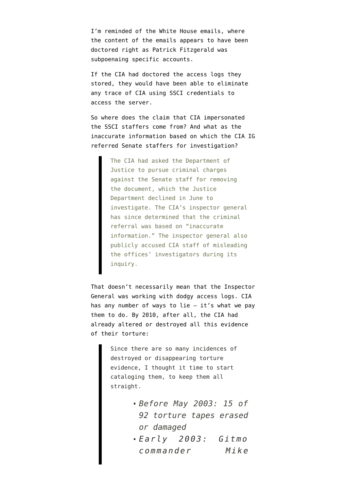I'm reminded of the [White House emails,](https://www.emptywheel.net/2009/06/20/who-accessed-the-rove-email-search-on-july-26-2005/) where the content of the emails appears to have been doctored right as Patrick Fitzgerald was subpoenaing specific accounts.

If the CIA had doctored the access logs they stored, they would have been able to eliminate any trace of CIA using SSCI credentials to access the server.

So where does the claim that CIA impersonated the SSCI staffers come from? And what as the inaccurate information based on which the CIA IG referred Senate staffers for investigation?

> The CIA had asked the Department of Justice to pursue criminal charges against the Senate staff for removing the document, which the Justice Department declined in June to investigate. The CIA's inspector general has since determined that the criminal referral was based on "inaccurate information." The inspector general also publicly accused CIA staff of misleading the offices' investigators during its inquiry.

That doesn't necessarily mean that the Inspector General was working with dodgy access logs. CIA has any number of ways to lie  $-$  it's what we pay them to do. By 2010, after all, the CIA had already [altered or destroyed](https://www.emptywheel.net/2010/03/14/a-catalog-of-the-destroyed-torture-evidence/) all this evidence of their torture:

> Since there are so many incidences of destroyed or disappearing torture evidence, I thought it time to start cataloging them, to keep them all straight.

- *Before May 2003: 15 of 92 torture tapes erased or damaged*
- *Early 2003: Gitmo commander Mike*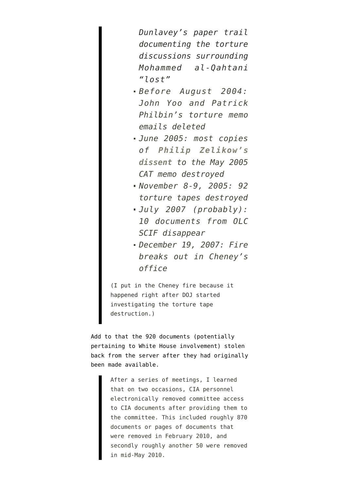*Dunlavey's paper trail documenting the torture discussions surrounding Mohammed al-Qahtani "lost"*

- *Before August 2004: John Yoo and Patrick Philbin's torture memo emails deleted*
- *June 2005: most copies of [Philip Zelikow's](http://emptywheel.firedoglake.com/2009/04/22/zelikows-destroyed-memos/) [dissent](http://emptywheel.firedoglake.com/2009/04/22/zelikows-destroyed-memos/) to the May 2005 CAT memo destroyed*
- *November 8-9, 2005: 92 torture tapes destroyed*
- *July 2007 (probably): 10 documents from OLC SCIF disappear*
- *December 19, 2007: Fire breaks out in Cheney's office*

(I put in the Cheney fire because it happened right after DOJ started investigating the torture tape destruction.)

Add to that the 920 documents ([potentially](https://www.emptywheel.net/2014/10/07/in-telling-of-brennan-fit-panetta-somehow-forgets-the-torture-documents-stolen-back-for-the-white-house/) [pertaining to White House involvement](https://www.emptywheel.net/2014/10/07/in-telling-of-brennan-fit-panetta-somehow-forgets-the-torture-documents-stolen-back-for-the-white-house/)) [stolen](http://www.feinstein.senate.gov/public/index.cfm/2014/3/feinstein-statement-on-intelligence-committee-s-cia-detention-interrogation-report) [back from the server](http://www.feinstein.senate.gov/public/index.cfm/2014/3/feinstein-statement-on-intelligence-committee-s-cia-detention-interrogation-report) after they had originally been made available.

> After a series of meetings, I learned that on two occasions, CIA personnel electronically removed committee access to CIA documents after providing them to the committee. This included roughly 870 documents or pages of documents that were removed in February 2010, and secondly roughly another 50 were removed in mid-May 2010.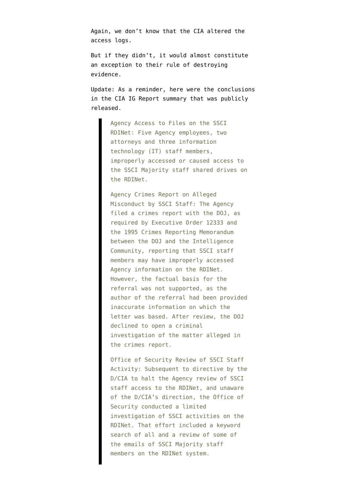Again, we don't know that the CIA altered the access logs.

But if they didn't, it would almost constitute an exception to their rule of destroying evidence.

Update: As a reminder, here were the conclusions in the CIA IG Report [summary](http://fas.org/sgp/othergov/intel/ig-ssci.pdf) that was publicly released.

> Agency Access to Files on the SSCI RDINet: Five Agency employees, two attorneys and three information technology (IT) staff members, improperly accessed or caused access to the SSCI Majority staff shared drives on the RDINet.

> Agency Crimes Report on Alleged Misconduct by SSCI Staff: The Agency filed a crimes report with the DOJ, as required by Executive Order 12333 and the 1995 Crimes Reporting Memorandum between the DOJ and the Intelligence Community, reporting that SSCI staff members may have improperly accessed Agency information on the RDINet. However, the factual basis for the referral was not supported, as the author of the referral had been provided inaccurate information on which the letter was based. After review, the DOJ declined to open a criminal investigation of the matter alleged in the crimes report.

> Office of Security Review of SSCI Staff Activity: Subsequent to directive by the D/CIA to halt the Agency review of SSCI staff access to the RDINet, and unaware of the D/CIA's direction, the Office of Security conducted a limited investigation of SSCI activities on the RDINet. That effort included a keyword search of all and a review of some of the emails of SSCI Majority staff members on the RDINet system.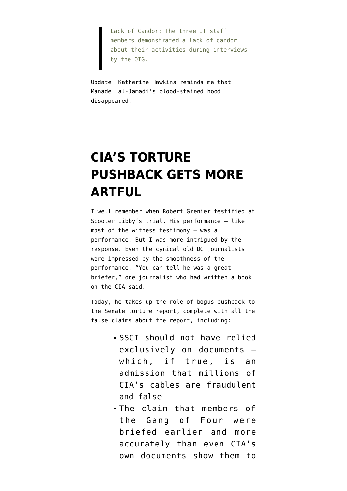Lack of Candor: The three IT staff members demonstrated a lack of candor about their activities during interviews by the OIG.

Update: Katherine Hawkins [reminds me](https://twitter.com/Krhawkins5/status/525296714979504128) that Manadel al-Jamadi's [blood-stained hood](http://www.wbur.org/npr/4977986/the-death-of-an-iraqi-prisoner) [disappeared](http://www.wbur.org/npr/4977986/the-death-of-an-iraqi-prisoner).

## **[CIA'S TORTURE](https://www.emptywheel.net/2014/08/11/cias-torture-pushback-gets-more-artful/) [PUSHBACK GETS MORE](https://www.emptywheel.net/2014/08/11/cias-torture-pushback-gets-more-artful/) [ARTFUL](https://www.emptywheel.net/2014/08/11/cias-torture-pushback-gets-more-artful/)**

I well remember when Robert Grenier testified at Scooter Libby's trial. His performance – like most of the witness testimony — was a performance. But I was more intrigued by the response. Even the cynical old DC journalists were impressed by the smoothness of the performance. "You can tell he was a great briefer," one journalist who had written a book on the CIA said.

Today, he [takes up](http://www.huffingtonpost.com/robert-l-grenier/senate-rdi-report-lies-obfuscation_b_5663595.html) the role of bogus pushback to the Senate torture report, complete with all the false claims about the report, including:

- SSCI should not have relied exclusively on documents which, if true, [is an](http://www.emptywheel.net/2013/06/27/breaking-cia-admits-to-ssci-its-official-records-are-badly-inaccurate/) [admission](http://www.emptywheel.net/2013/06/27/breaking-cia-admits-to-ssci-its-official-records-are-badly-inaccurate/) that millions of CIA's cables are fraudulent and false
- The claim that members of the Gang of Four were briefed earlier and more accurately [than even CIA's](http://www.emptywheel.net/2014/04/02/cias-own-records-of-cias-lies-to-congress/) [own documents](http://www.emptywheel.net/2014/04/02/cias-own-records-of-cias-lies-to-congress/) show them to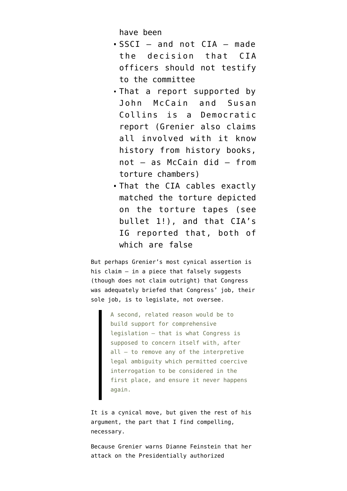have been

- SSCI and not CIA made the decision that CIA officers should not testify to the committee
- That a report supported by John McCain and Susan Collins is a Democratic report (Grenier also claims all involved with it know history from history books, not — as McCain did — from torture chambers)
- That the CIA cables exactly matched the torture depicted on the torture tapes (see bullet 1!), and that CIA's IG reported that, both of which are false

But perhaps Grenier's most cynical assertion is his claim — in a piece that falsely suggests (though does not claim outright) that Congress was adequately briefed that Congress' job, their sole job, is to legislate, not oversee.

> A second, related reason would be to build support for comprehensive legislation — that is what Congress is supposed to concern itself with, after all — to remove any of the interpretive legal ambiguity which permitted coercive interrogation to be considered in the first place, and ensure it never happens again.

It is a cynical move, but given the rest of his argument, the part that I find compelling, necessary.

Because Grenier warns Dianne Feinstein that her attack on the Presidentially authorized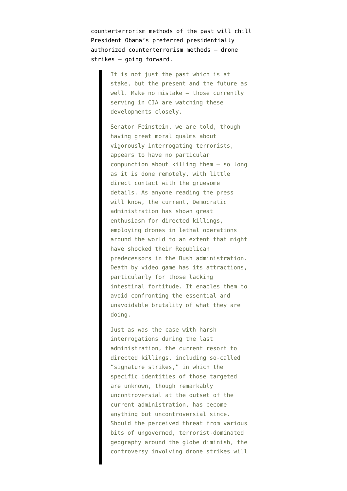counterterrorism methods of the past will chill President Obama's preferred presidentially authorized counterterrorism methods — drone strikes — going forward.

> It is not just the past which is at stake, but the present and the future as well. Make no mistake — those currently serving in CIA are watching these developments closely.

> Senator Feinstein, we are told, though having great moral qualms about vigorously interrogating terrorists, appears to have no particular compunction about killing them — so long as it is done remotely, with little direct contact with the gruesome details. As anyone reading the press will know, the current, Democratic administration has shown great enthusiasm for directed killings, employing drones in lethal operations around the world to an extent that might have shocked their Republican predecessors in the Bush administration. Death by video game has its attractions, particularly for those lacking intestinal fortitude. It enables them to avoid confronting the essential and unavoidable brutality of what they are doing.

> Just as was the case with harsh interrogations during the last administration, the current resort to directed killings, including so-called "signature strikes," in which the specific identities of those targeted are unknown, though remarkably uncontroversial at the outset of the current administration, has become anything but uncontroversial since. Should the perceived threat from various bits of ungoverned, terrorist-dominated geography around the globe diminish, the controversy involving drone strikes will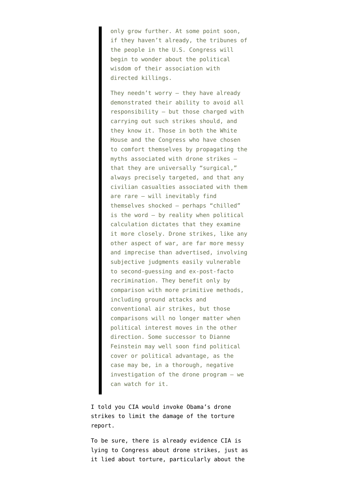only grow further. At some point soon, if they haven't already, the tribunes of the people in the U.S. Congress will begin to wonder about the political wisdom of their association with directed killings.

They needn't worry — they have already demonstrated their ability to avoid all responsibility — but those charged with carrying out such strikes should, and they know it. Those in both the White House and the Congress who have chosen to comfort themselves by propagating the myths associated with drone strikes that they are universally "surgical," always precisely targeted, and that any civilian casualties associated with them are rare — will inevitably find themselves shocked — perhaps "chilled" is the word — by reality when political calculation dictates that they examine it more closely. Drone strikes, like any other aspect of war, are far more messy and imprecise than advertised, involving subjective judgments easily vulnerable to second-guessing and ex-post-facto recrimination. They benefit only by comparison with more primitive methods, including ground attacks and conventional air strikes, but those comparisons will no longer matter when political interest moves in the other direction. Some successor to Dianne Feinstein may well soon find political cover or political advantage, as the case may be, in a thorough, negative investigation of the drone program — we can watch for it.

I [told you](http://www.emptywheel.net/2013/10/18/cia-and-the-president-the-warm-embrace-of-mutual-incrimination/) CIA would invoke Obama's drone strikes to limit the damage of the torture report.

To be sure, there is already evidence CIA is lying to Congress about drone strikes, just as it lied about torture, particularly about the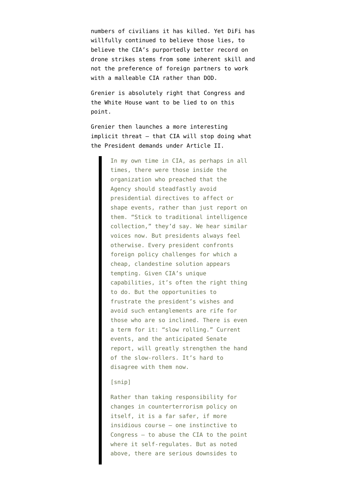numbers of civilians it has killed. Yet DiFi has willfully continued to believe those lies, to believe the CIA's purportedly better record on drone strikes stems from some inherent skill and not the preference of foreign partners to work with a malleable CIA rather than DOD.

Grenier is absolutely right that Congress and the White House want to be lied to on this point.

Grenier then launches a more interesting implicit threat — that CIA will stop doing what the President demands under Article II.

> In my own time in CIA, as perhaps in all times, there were those inside the organization who preached that the Agency should steadfastly avoid presidential directives to affect or shape events, rather than just report on them. "Stick to traditional intelligence collection," they'd say. We hear similar voices now. But presidents always feel otherwise. Every president confronts foreign policy challenges for which a cheap, clandestine solution appears tempting. Given CIA's unique capabilities, it's often the right thing to do. But the opportunities to frustrate the president's wishes and avoid such entanglements are rife for those who are so inclined. There is even a term for it: "slow rolling." Current events, and the anticipated Senate report, will greatly strengthen the hand of the slow-rollers. It's hard to disagree with them now.

#### [snip]

Rather than taking responsibility for changes in counterterrorism policy on itself, it is a far safer, if more insidious course — one instinctive to Congress — to abuse the CIA to the point where it self-regulates. But as noted above, there are serious downsides to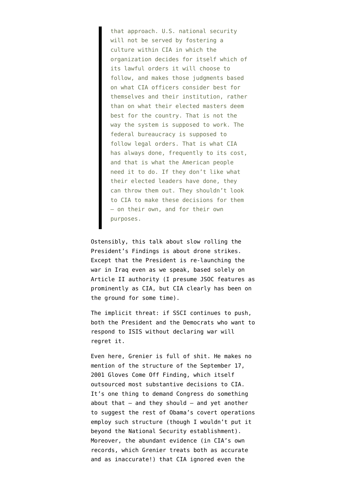that approach. U.S. national security will not be served by fostering a culture within CIA in which the organization decides for itself which of its lawful orders it will choose to follow, and makes those judgments based on what CIA officers consider best for themselves and their institution, rather than on what their elected masters deem best for the country. That is not the way the system is supposed to work. The federal bureaucracy is supposed to follow legal orders. That is what CIA has always done, frequently to its cost, and that is what the American people need it to do. If they don't like what their elected leaders have done, they can throw them out. They shouldn't look to CIA to make these decisions for them — on their own, and for their own purposes.

Ostensibly, this talk about slow rolling the President's Findings is about drone strikes. Except that the President is re-launching the war in Iraq even as we speak, based solely on Article II authority (I presume JSOC features as prominently as CIA, but [CIA clearly has been on](http://www.miamiherald.com/2014/07/11/4231510/expansion-of-secret-facility-in.html) [the ground for some time\)](http://www.miamiherald.com/2014/07/11/4231510/expansion-of-secret-facility-in.html).

The implicit threat: if SSCI continues to push, both the President and the Democrats who want to respond to ISIS without declaring war will regret it.

Even here, Grenier is full of shit. He makes no mention of the structure of the [September 17,](http://www.emptywheel.net/2012/04/21/the-gloves-come-off-memorandum-of-notification/) [2001 Gloves Come Off Finding](http://www.emptywheel.net/2012/04/21/the-gloves-come-off-memorandum-of-notification/), which itself outsourced most substantive decisions to CIA. It's one thing to demand Congress do something about that  $-$  and they should  $-$  and yet another to suggest the rest of Obama's covert operations employ such structure (though I wouldn't put it beyond the National Security establishment). Moreover, the abundant evidence (in CIA's own records, which Grenier treats both as accurate and as inaccurate!) that CIA ignored even the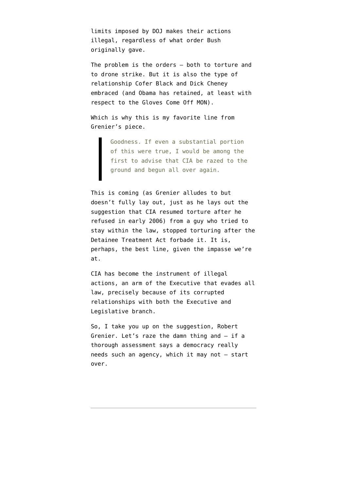limits imposed by DOJ makes their actions illegal, regardless of what order Bush originally gave.

The problem is the orders — both to torture and to drone strike. But it is also the type of relationship Cofer Black and Dick Cheney embraced (and Obama has retained, at least with respect to the Gloves Come Off MON).

Which is why this is my favorite line from Grenier's piece.

> Goodness. If even a substantial portion of this were true, I would be among the first to advise that CIA be razed to the ground and begun all over again.

This is coming (as Grenier alludes to but doesn't fully lay out, just as he lays out the suggestion that CIA resumed torture after he refused in early 2006) from a guy who tried to stay within the law, stopped torturing after the Detainee Treatment Act forbade it. It is, perhaps, the best line, given the impasse we're at.

CIA has become the instrument of illegal actions, an arm of the Executive that evades all law, precisely because of its corrupted relationships with both the Executive and Legislative branch.

So, I take you up on the suggestion, Robert Grenier. Let's raze the damn thing and — if a thorough assessment says a democracy really needs such an agency, which it may not — start over.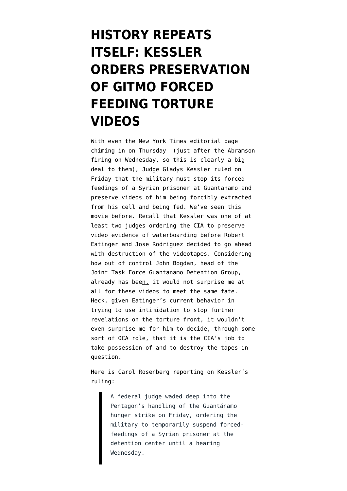# **[HISTORY REPEATS](https://www.emptywheel.net/2014/05/19/history-repeats-itself-kessler-orders-preservation-of-gitmo-forced-feeding-torture-videos/) [ITSELF: KESSLER](https://www.emptywheel.net/2014/05/19/history-repeats-itself-kessler-orders-preservation-of-gitmo-forced-feeding-torture-videos/) [ORDERS PRESERVATION](https://www.emptywheel.net/2014/05/19/history-repeats-itself-kessler-orders-preservation-of-gitmo-forced-feeding-torture-videos/) [OF GITMO FORCED](https://www.emptywheel.net/2014/05/19/history-repeats-itself-kessler-orders-preservation-of-gitmo-forced-feeding-torture-videos/) [FEEDING TORTURE](https://www.emptywheel.net/2014/05/19/history-repeats-itself-kessler-orders-preservation-of-gitmo-forced-feeding-torture-videos/) [VIDEOS](https://www.emptywheel.net/2014/05/19/history-repeats-itself-kessler-orders-preservation-of-gitmo-forced-feeding-torture-videos/)**

With even the [New York Times editorial page](http://www.nytimes.com/2014/05/16/opinion/force-feedings-at-guantanamo.html) [chiming in on Thursday](http://www.nytimes.com/2014/05/16/opinion/force-feedings-at-guantanamo.html) (just after the Abramson firing on Wednesday, so this is clearly a big deal to them), [Judge Gladys Kessler ruled on](http://www.miamiherald.com/2014/05/16/4122110/federal-judge-halts-forced-feeding.html) [Friday](http://www.miamiherald.com/2014/05/16/4122110/federal-judge-halts-forced-feeding.html) that the military must stop its forced feedings of a Syrian prisoner at Guantanamo and preserve videos of him being forcibly extracted from his cell and being fed. We've seen this movie before. Recall that Kessler was [one of at](http://www.nbcnews.com/id/22217926/ns/politics-white_house/t/cia-destroyed-tapes-despite-court-orders/#.U3nzIPldXGA) [least two judges ordering the CIA to preserve](http://www.nbcnews.com/id/22217926/ns/politics-white_house/t/cia-destroyed-tapes-despite-court-orders/#.U3nzIPldXGA) [video evidence of waterboarding](http://www.nbcnews.com/id/22217926/ns/politics-white_house/t/cia-destroyed-tapes-despite-court-orders/#.U3nzIPldXGA) before Robert Eatinger and Jose Rodriguez decided to go ahead with destruction of the videotapes. Considering [how out of control John Bogdan, head of the](http://www.emptywheel.net/2013/07/12/why-has-john-bogdan-not-yet-been-relieved-of-command-at-guantanamo/) [Joint Task Force Guantanamo Detention Group,](http://www.emptywheel.net/2013/07/12/why-has-john-bogdan-not-yet-been-relieved-of-command-at-guantanamo/) [already has been](http://www.emptywheel.net/2013/07/12/why-has-john-bogdan-not-yet-been-relieved-of-command-at-guantanamo/), it would not surprise me at all for these videos to meet the same fate. Heck, given [Eatinger's current behavior in](http://www.emptywheel.net/2014/03/11/robert-eatinger-lawyer-who-approved-torture-tape-destruction-tries-to-intimidate-senate-investigators/) [trying to use intimidation to stop further](http://www.emptywheel.net/2014/03/11/robert-eatinger-lawyer-who-approved-torture-tape-destruction-tries-to-intimidate-senate-investigators/) [revelations on the torture front,](http://www.emptywheel.net/2014/03/11/robert-eatinger-lawyer-who-approved-torture-tape-destruction-tries-to-intimidate-senate-investigators/) it wouldn't even surprise me for him to decide, through some sort of [OCA](http://www.emptywheel.net/2013/02/14/did-cia-oca-censor-another-court-transmission/) role, that it is the CIA's job to take possession of and to destroy the tapes in question.

Here is [Carol Rosenberg reporting](http://www.miamiherald.com/2014/05/16/4122110/federal-judge-halts-forced-feeding.html) on Kessler's ruling:

> A federal judge waded deep into the Pentagon's handling of the Guantánamo hunger strike on Friday, ordering the military to temporarily suspend forcedfeedings of a Syrian prisoner at the detention center until a hearing Wednesday.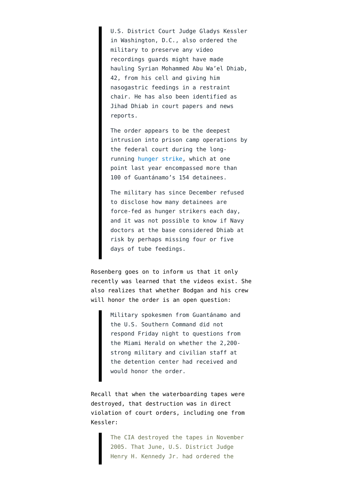U.S. District Court Judge Gladys Kessler in Washington, D.C., also ordered the military to preserve any video recordings guards might have made hauling Syrian Mohammed Abu Wa'el Dhiab, 42, from his cell and giving him nasogastric feedings in a restraint chair. He has also been identified as Jihad Dhiab in court papers and news reports.

The order appears to be the deepest intrusion into prison camp operations by the federal court during the longrunning [hunger strike,](http://www.miamiherald.com/static/media/projects/gitmo_chart/) which at one point last year encompassed more than 100 of Guantánamo's 154 detainees.

The military has since December refused to disclose how many detainees are force-fed as hunger strikers each day, and it was not possible to know if Navy doctors at the base considered Dhiab at risk by perhaps missing four or five days of tube feedings.

Rosenberg goes on to inform us that it only recently was learned that the videos exist. She also realizes that whether Bodgan and his crew will honor the order is an open question:

> Military spokesmen from Guantánamo and the U.S. Southern Command did not respond Friday night to questions from the Miami Herald on whether the 2,200 strong military and civilian staff at the detention center had received and would honor the order.

Recall that when the waterboarding tapes were destroyed, that [destruction was in direct](http://www.nbcnews.com/id/22217926/ns/politics-white_house/t/cia-destroyed-tapes-despite-court-orders/#.U3nzIPldXGA) [violation of court orders, including one from](http://www.nbcnews.com/id/22217926/ns/politics-white_house/t/cia-destroyed-tapes-despite-court-orders/#.U3nzIPldXGA) [Kessler:](http://www.nbcnews.com/id/22217926/ns/politics-white_house/t/cia-destroyed-tapes-despite-court-orders/#.U3nzIPldXGA)

> The CIA destroyed the tapes in November 2005. That June, U.S. District Judge Henry H. Kennedy Jr. had ordered the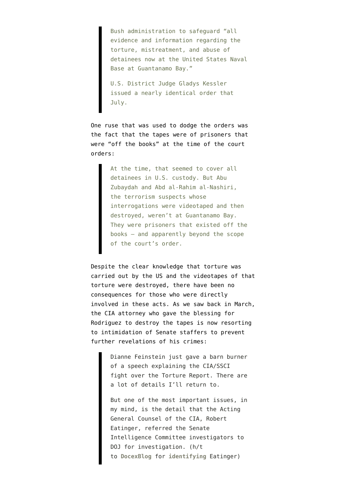Bush administration to safeguard "all evidence and information regarding the torture, mistreatment, and abuse of detainees now at the United States Naval Base at Guantanamo Bay."

U.S. District Judge Gladys Kessler issued a nearly identical order that July.

One ruse that was used to dodge the orders was the fact that the tapes were of prisoners that were "off the books" at the time of the court orders:

> At the time, that seemed to cover all detainees in U.S. custody. But Abu Zubaydah and Abd al-Rahim al-Nashiri, the terrorism suspects whose interrogations were videotaped and then destroyed, weren't at Guantanamo Bay. They were prisoners that existed off the books – and apparently beyond the scope of the court's order.

Despite the clear knowledge that torture was carried out by the US and the videotapes of that torture were destroyed, there have been [no](http://www.emptywheel.net/2010/11/09/durham-torture-tape-case-dies-us-duplicity-in-geneva-the-press-snoozes/) [consequences](http://www.emptywheel.net/2010/11/09/durham-torture-tape-case-dies-us-duplicity-in-geneva-the-press-snoozes/) for those who were directly involved in these acts. As we saw back in March, the CIA attorney who gave the blessing for Rodriguez to destroy the tapes is now [resorting](http://www.emptywheel.net/2014/03/11/robert-eatinger-lawyer-who-approved-torture-tape-destruction-tries-to-intimidate-senate-investigators/) [to intimidation of Senate staffers to prevent](http://www.emptywheel.net/2014/03/11/robert-eatinger-lawyer-who-approved-torture-tape-destruction-tries-to-intimidate-senate-investigators/) [further revelations of his crimes:](http://www.emptywheel.net/2014/03/11/robert-eatinger-lawyer-who-approved-torture-tape-destruction-tries-to-intimidate-senate-investigators/)

> Dianne Feinstein just gave a barn burner of a speech explaining the CIA/SSCI fight over the Torture Report. There are a lot of details I'll return to.

> But one of the most important issues, in my mind, is the detail that the Acting General Counsel of the CIA, Robert Eatinger, referred the Senate Intelligence Committee investigators to DOJ for investigation. (h/t to **[DocexBlog](https://twitter.com/docexblog/status/443386321059725314)** for **[identifying](http://www.americanbar.org/news/abanews/aba-news-archives/2013/10/cia_nsa_odni_andn.html)** Eatinger)